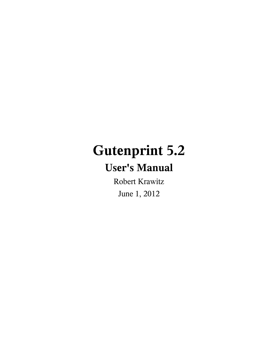# **Gutenprint 5.2**

# **User's Manual**

Robert Krawitz June 1, 2012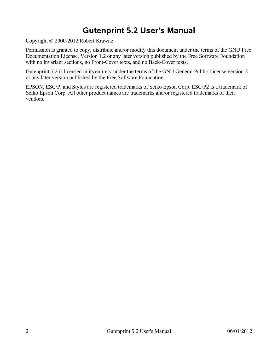# **Gutenprint 5.2 User's Manual**

Copyright © 2000-2012 Robert Krawitz

Permission is granted to copy, distribute and/or modify this document under the terms of the GNU Free Documentation License, Version 1.2 or any later version published by the Free Software Foundation with no invariant sections, no Front-Cover texts, and no Back-Cover texts.

Gutenprint 5.2 is licensed in its entirety under the terms of the GNU General Public License version 2 or any later version published by the Free Software Foundation.

EPSON, ESC/P, and Stylus are registered trademarks of Seiko Epson Corp. ESC/P2 is a trademark of Seiko Epson Corp. All other product names are trademarks and/or registered trademarks of their vendors.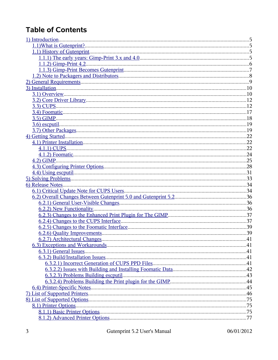# **Table of Contents**

| 41 |
|----|
|    |
|    |
|    |
|    |
|    |
|    |
|    |
|    |
|    |
|    |
|    |
|    |
|    |

06/01/2012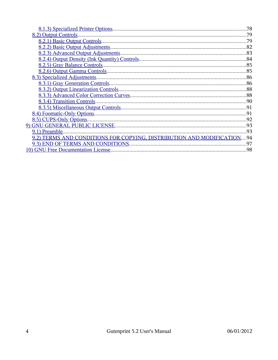|                                                                        | 78  |
|------------------------------------------------------------------------|-----|
|                                                                        |     |
|                                                                        |     |
|                                                                        |     |
|                                                                        |     |
|                                                                        |     |
|                                                                        |     |
|                                                                        |     |
|                                                                        |     |
|                                                                        |     |
|                                                                        |     |
|                                                                        |     |
|                                                                        |     |
|                                                                        |     |
|                                                                        |     |
|                                                                        |     |
|                                                                        |     |
|                                                                        | .93 |
| 9.2) TERMS AND CONDITIONS FOR COPYING, DISTRIBUTION AND MODIFICATION94 |     |
|                                                                        | .97 |
|                                                                        |     |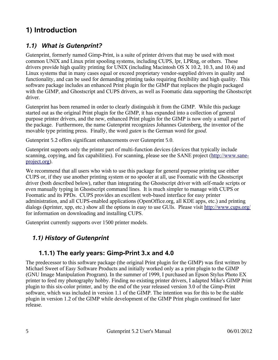# <span id="page-4-0"></span>**1) Introduction**

## <span id="page-4-3"></span>*1.1) What is Gutenprint?*

Gutenprint, formerly named Gimp-Print, is a suite of printer drivers that may be used with most common UNIX and Linux print spooling systems, including CUPS, lpr, LPRng, or others. These drivers provide high quality printing for UNIX (including Macintosh OS X 10.2, 10.3, and 10.4) and Linux systems that in many cases equal or exceed proprietary vendor-supplied drivers in quality and functionality, and can be used for demanding printing tasks requiring flexibility and high quality. This software package includes an enhanced Print plugin for the GIMP that replaces the plugin packaged with the GIMP, and Ghostscript and CUPS drivers, as well as Foomatic data supporting the Ghostscript driver.

Gutenprint has been renamed in order to clearly distinguish it from the GIMP. While this package started out as the original Print plugin for the GIMP, it has expanded into a collection of general purpose printer drivers, and the new, enhanced Print plugin for the GIMP is now only a small part of the package. Furthermore, the name Gutenprint recognizes Johannes Gutenberg, the inventor of the movable type printing press. Finally, the word *guten* is the German word for *good*.

Gutenprint 5.2 offers significant enhancements over Gutenprint 5.0.

Gutenprint supports only the printer part of multi-function devices (devices that typically include scanning, copying, and fax capabilities). For scanning, please see the SANE project [\(http://www.sane](http://www.sane-project.org/)[project.org\)](http://www.sane-project.org/).

We recommend that all users who wish to use this package for general purpose printing use either CUPS or, if they use another printing system or no spooler at all, use Foomatic with the Ghostscript driver (both described below), rather than integrating the Ghostscript driver with self-made scripts or even manually typing in Ghostscript command lines. It is much simpler to manage with CUPS or Foomatic and its PPDs. CUPS provides an excellent web-based interface for easy printer administration, and all CUPS-enabled applications (OpenOffice.org, all KDE apps, etc.) and printing dialogs (kprinter, xpp, etc.) show all the options in easy to use GUIs. Please visit<http://www.cups.org/> for information on downloading and installing CUPS.

Gutenprint currently supports over 1500 printer models.

## <span id="page-4-2"></span>*1.1) History of Gutenprint*

## <span id="page-4-1"></span>**1.1.1) The early years: Gimp-Print 3.x and 4.0**

The predecessor to this software package (the original Print plugin for the GIMP) was first written by Michael Sweet of Easy Software Products and initially worked only as a print plugin to the GIMP (GNU Image Manipulation Program). In the summer of 1999, I purchased an Epson Stylus Photo EX printer to feed my photography hobby. Finding no existing printer drivers, I adapted Mike's GIMP Print plugin to this six-color printer, and by the end of the year released version 3.0 of the Gimp-Print software, which was included in version 1.1 of the GIMP. The intention was for this to be the stable plugin in version 1.2 of the GIMP while development of the GIMP Print plugin continued for later release.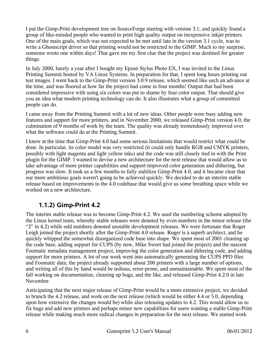I put the Gimp-Print development tree on SourceForge starting with version 3.1, and quickly found a group of like-minded people who wanted to print high quality output on inexpensive inkjet printers. One of the main goals, which was not expected to be met until late in the version 3.1 cycle, was to write a Ghostscript driver so that printing would not be restricted to the GIMP. Much to my surprise, someone wrote one within days! That gave me my first clue that the project was destined for greater things.

In July 2000, barely a year after I bought my Epson Stylus Photo EX, I was invited to the Linux Printing Summit hosted by VA Linux Systems. In preparation for that, I spent long hours printing out test images. I went back to the Gimp-Print version 3.0.9 release, which seemed like such an advance at the time, and was floored at how far the project had come in four months! Output that had been considered impressive with using six colors was put to shame by four color output. That should give you an idea what modern printing technology can do. It also illustrates what a group of committed people can do.

I came away from the Printing Summit with a lot of new ideas. Other people were busy adding new features and support for more printers, and in November 2000, we released Gimp-Print version 4.0, the culmination of 9 months of work by the team. The quality was already tremendously improved over what the software could do at the Printing Summit.

I knew at the time that Gimp-Print 4.0 had some serious limitations that would restrict what could be done. In particular, its color model was very restricted (it could only handle RGB and CMYK printers, possibly with light magenta and light yellow inks) and the code was still closely tied in with the Print plugin for the GIMP. I wanted to devise a new architecture for the next release that would allow us to take advantage of more printer capabilities and support improved color generation and dithering, but progress was slow. It took us a few months to fully stabilize Gimp-Print 4.0, and it became clear that our more ambitious goals weren't going to be achieved quickly. We decided to do an interim stable release based on improvements to the 4.0 codebase that would give us some breathing space while we worked on a new architecture.

## <span id="page-5-0"></span>**1.1.2) Gimp-Print 4.2**

The interim stable release was to become Gimp-Print 4.2. We used the numbering scheme adopted by the Linux kernel team, whereby stable releases were denoted by even numbers in the minor release (the "2" in 4.2) while odd numbers denoted unstable development releases. We were fortunate that Roger Leigh joined the project shortly after the Gimp-Print 4.0 release. Roger is a superb architect, and he quickly whipped the somewhat disorganized code base into shape. We spent most of 2001 cleaning up the code base, adding support for CUPS (by now, Mike Sweet had joined the project) and the nascent Foomatic metadata management project, improving the color generation and dithering code, and adding support for more printers. A lot of our work went into automatically generating the CUPS PPD files and Foomatic data; the project already supported about 200 printers with a large number of options, and writing all of this by hand would be tedious, error-prone, and unmaintainable. We spent most of the fall working on documentation, cleaning up bugs, and the like, and released Gimp-Print 4.2.0 in late November.

Anticipating that the next major release of Gimp-Print would be a more extensive project, we decided to branch the 4.2 release, and work on the next release (which would be either 4.4 or 5.0, depending upon how extensive the changes would be) while also releasing updates to 4.2. This would allow us to fix bugs and add new printers and perhaps minor new capabilities for users wanting a stable Gimp-Print release while making much more radical changes in preparation for the next release. We started work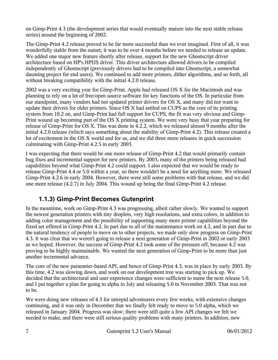on Gimp-Print 4.3 (the development series that would eventually mature into the next stable release series) around the beginning of 2002.

The Gimp-Print 4.2 release proved to be far more successful than we ever imagined. First of all, it was wonderfully stable from the outset; it was to be over 4 months before we needed to release an update. We added one major new feature shortly after release, support for the new Ghostscript driver architecture based on HP's HPIJS driver. This driver architecture allowed drivers to be compiled independently of Ghostscript (previously drivers had to be compiled into Ghostscript, a somewhat daunting project for end users). We continued to add more printers, dither algorithms, and so forth, all without breaking compatibility with the initial 4.2.0 release.

2002 was a very exciting year for Gimp-Print. Apple had released OS X for the Macintosh and was planning to rely on a lot of free/open source software for key functions of the OS. In particular from our standpoint, many vendors had not updated printer drivers for OS X, and many did not want to update their drivers for older printers. Since OS X had settled on CUPS as the core of its printing system from 10.2 on, and Gimp-Print had full support for CUPS, the fit was very obvious and Gimp-Print wound up becoming part of the OS X printing system. We were very busy that year preparing for release of Gimp-Print for OS X. This was done in 4.2.2, which we released almost 9 months after the initial 4.2.0 release (which says something about the stability of Gimp-Print 4.2). This release created a lot of excitement in the OS X world and for us, and we did three more releases in quick succession culminating with Gimp-Print 4.2.5 in early 2003.

I was expecting that there would be one more release of Gimp-Print 4.2 that would primarily contain bug fixes and incremental support for new printers. By 2003, many of the printers being released had capabilities beyond what Gimp-Print 4.2 could support. I also expected that we would be ready to release Gimp-Print 4.4 or 5.0 within a year, so there wouldn't be a need for anything more. We released Gimp-Print 4.2.6 in early 2004. However, there were still some problems with that release, and we did one more release (4.2.7) in July 2004. This wound up being the final Gimp-Print 4.2 release.

## <span id="page-6-0"></span>**1.1.3) Gimp-Print Becomes Gutenprint**

In the meantime, work on Gimp-Print 4.3 was progressing, albeit rather slowly. We wanted to support the newest generation printers with tiny droplets, very high resolutions, and extra colors, in addition to adding color management and the possibility of supporting many more printer capabilities beyond the fixed set offered in Gimp-Print 4.2. In part due to all of the maintenance work on 4.2, and in part due to the natural tendency of people to move on to other projects, we made only slow progress on Gimp-Print 4.3. It was clear that we weren't going to release a next generation of Gimp-Print in 2002 or early 2003 as we hoped. However, the success of Gimp-Print 4.2 took some of the pressure off, because 4.2 was proving to be highly maintainable. We wanted the next generation of Gimp-Print to be more than just another incremental advance.

The core of the new parameter-based API, and hence of Gimp-Print 4.3, was in place by early 2003. By this time, 4.2 was slowing down, and work on our development tree was starting to pick up. We decided that the architectural and user experience changes were sufficient to name the next release 5.0, and I put together a plan for going to alpha in July and releasing 5.0 in November 2003. That was not to be.

We were doing new releases of 4.3 for intrepid adventurers every few weeks, with extensive changes continuing, and it was only in December that we finally felt ready to move to 5.0 alpha, which we released in January 2004. Progress was slow; there were still quite a few API changes we felt we needed to make, and there were still serious quality problems with many printers. In addition, new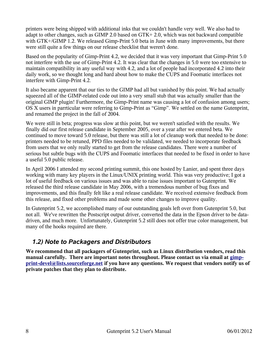printers were being shipped with additional inks that we couldn't handle very well. We also had to adapt to other changes, such as GIMP 2.0 based on GTK+ 2.0, which was not backward compatible with GTK+/GIMP 1.2. We released Gimp-Print 5.0 beta in June with many improvements, but there were still quite a few things on our release checklist that weren't done.

Based on the popularity of Gimp-Print 4.2, we decided that it was very important that Gimp-Print 5.0 not interfere with the use of Gimp-Print 4.2. It was clear that the changes in 5.0 were too extensive to maintain compatibility in any useful way with 4.2, and a lot of people had incorporated 4.2 into their daily work, so we thought long and hard about how to make the CUPS and Foomatic interfaces not interfere with Gimp-Print 4.2.

It also became apparent that our ties to the GIMP had all but vanished by this point. We had actually squeezed all of the GIMP-related code out into a very small stub that was actually smaller than the original GIMP plugin! Furthermore, the Gimp-Print name was causing a lot of confusion among users; OS X users in parrticular were referring to Gimp-Print as "Gimp". We settled on the name Gutenprint, and renamed the project in the fall of 2004.

We were still in beta; progress was slow at this point, but we weren't satisfied with the results. We finally did our first release candidate in September 2005, over a year after we entered beta. We continued to move toward 5.0 release, but there was still a lot of cleanup work that needed to be done: printers needed to be retuned, PPD files needed to be validated, we needed to incorporate feedback from users that we only really started to get from the release candidates. There were a number of serious but subtle bugs with the CUPS and Foomatic interfaces that needed to be fixed in order to have a useful 5.0 public release.

In April 2006 I attended my second printing summit, this one hosted by Lanier, and spent three days working with many key players in the Linux/UNIX printing world. This was very productive; I got a lot of useful feedback on various issues and was able to raise issues important to Gutenprint. We released the third release candidate in May 2006, with a tremendous number of bug fixes and improvements, and this finally felt like a real release candidate. We received extensive feedback from this release, and fixed other problems and made some other changes to improve quality.

In Gutenprint 5.2, we accomplished many of our outstanding goals left over from Gutenprint 5.0, but not all. We've rewritten the Postscript output driver, converted the data in the Epson driver to be datadriven, and much more. Unfortunately, Gutenprint 5.2 still does not offer true color management, but many of the hooks required are there.

## <span id="page-7-0"></span>*1.2) Note to Packagers and Distributors*

**We recommend that all packagers of Gutenprint, such as Linux distribution vendors, read this manual carefully. There are important notes throughout. Please contact us via email at [gimp](mailto:gimp-print-devel@lists.sourceforge.net)[print-devel@lists.sourceforge.net](mailto:gimp-print-devel@lists.sourceforge.net) if you have any questions. We request that vendors notify us of private patches that they plan to distribute.**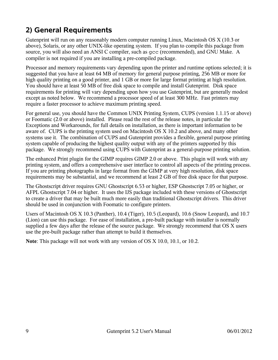# <span id="page-8-0"></span>**2) General Requirements**

Gutenprint will run on any reasonably modern computer running Linux, Macintosh OS X (10.3 or above), Solaris, or any other UNIX-like operating system. If you plan to compile this package from source, you will also need an ANSI C compiler, such as  $qcc$  (recommended), and GNU Make. A compiler is not required if you are installing a pre-compiled package.

Processor and memory requirements vary depending upon the printer and runtime options selected; it is suggested that you have at least 64 MB of memory for general purpose printing, 256 MB or more for high quality printing on a good printer, and 1 GB or more for large format printing at high resolution. You should have at least 50 MB of free disk space to compile and install Gutenprint. Disk space requirements for printing will vary depending upon how you use Gutenprint, but are generally modest except as noted below. We recommend a processor speed of at least 300 MHz. Fast printers may require a faster processor to achieve maximum printing speed.

For general use, you should have the Common UNIX Printing System, CUPS (version 1.1.15 or above) or Foomatic (2.0 or above) installed. Please read the rest of the release notes, in particular the Exceptions and Workarounds, for full details on installation, as there is important information to be aware of. CUPS is the printing system used on Macintosh OS X 10.2 and above, and many other systems use it. The combination of CUPS and Gutenprint provides a flexible, general purpose printing system capable of producing the highest quality output with any of the printers supported by this package. We strongly recommend using CUPS with Gutenprint as a general-purpose printing solution.

The enhanced Print plugin for the GIMP requires GIMP 2.0 or above. This plugin will work with any printing system, and offers a comprehensive user interface to control all aspects of the printing process. If you are printing photographs in large format from the GIMP at very high resolution, disk space requirements may be substantial, and we recommend at least 2 GB of free disk space for that purpose.

The Ghostscript driver requires GNU Ghostscript 6.53 or higher, ESP Ghostscript 7.05 or higher, or AFPL Ghostscript 7.04 or higher. It uses the IJS package included with these versions of Ghostscript to create a driver that may be built much more easily than traditional Ghostscript drivers. This driver should be used in conjunction with Foomatic to configure printers.

Users of Macintosh OS X 10.3 (Panther), 10.4 (Tiger), 10.5 (Leopard), 10.6 (Snow Leopard), and 10.7 (Lion) can use this package. For ease of installation, a pre-built package with installer is normally supplied a few days after the release of the source package. We strongly recommend that OS X users use the pre-built package rather than attempt to build it themselves.

**Note**: This package will not work with any version of OS X 10.0, 10.1, or 10.2.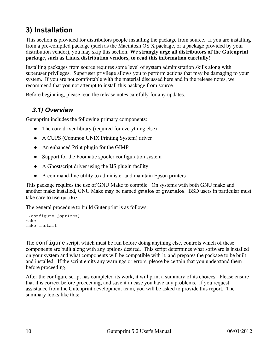# <span id="page-9-1"></span>**3) Installation**

This section is provided for distributors people installing the package from source. If you are installing from a pre-compiled package (such as the Macintosh OS X package, or a package provided by your distribution vendor), you may skip this section. **We strongly urge all distributors of the Gutenprint package, such as Linux distribution vendors, to read this information carefully!**

Installing packages from source requires some level of system administration skills along with superuser privileges. Superuser privilege allows you to perform actions that may be damaging to your system. If you are not comfortable with the material discussed here and in the release notes, we recommend that you not attempt to install this package from source.

Before beginning, please read the release notes carefully for any updates.

## <span id="page-9-0"></span>*3.1) Overview*

Gutenprint includes the following primary components:

- The core driver library (required for everything else)
- A CUPS (Common UNIX Printing System) driver
- An enhanced Print plugin for the GIMP
- Support for the Foomatic spooler configuration system
- A Ghostscript driver using the IJS plugin facility
- A command-line utility to administer and maintain Epson printers

This package requires the use of GNU Make to compile. On systems with both GNU make and another make installed, GNU Make may be named gmake or gnumake. BSD users in particular must take care to use gmake.

The general procedure to build Gutenprint is as follows:

```
./configure [options]
make
make install
```
The configure script, which must be run before doing anything else, controls which of these components are built along with any options desired. This script determines what software is installed on your system and what components will be compatible with it, and prepares the package to be built and installed. If the script emits any warnings or errors, please be certain that you understand them before proceeding.

After the configure script has completed its work, it will print a summary of its choices. Please ensure that it is correct before proceeding, and save it in case you have any problems. If you request assistance from the Gutenprint development team, you will be asked to provide this report. The summary looks like this: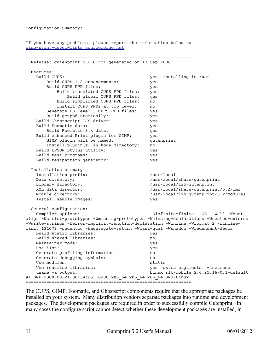Configuration Summary: ------------- --------

If you have any problems, please report the information below to [gimp-print-devel@lists.sourceforge.net](mailto:gimp-print-devel@lists.sourceforge.net) ================================================================ Release: gutenprint 5.2.0-rc1 generated on 13 Sep 2008 Features: Build CUPS: yes, installing in /usr Build CUPS 1.2 enhancements: yes Build CUPS PPD files: yes Build translated CUPS PPD files: yes Build global CUPS PPD files: yes Build simplified CUPS PPD files: no Install CUPS PPDs at top level: no Generate PS level 3 CUPS PPD files: yes Build genppd statically: yes Build Ghostscript IJS driver: yes Build Foomatic data: yes Build Foomatic 3.x data: yes Build enhanced Print plugin for GIMP: yes GIMP plugin will be named: *gutenprint*  Install plugin(s) in home directory: no Build EPSON Stylus utility: yes Build test programs: yes Build testpattern generator: yes Installation summary: Installation prefix: /usr/local Data directory:  $/$ usr/local/share/gutenprint Library directory:  $/$ usr/local/lib/gutenprint XML data directory:  $/$ usr/local/share/gutenprint/5.2/xml Module directory: /usr/local/lib/gutenprint/5.2/modules Install sample images: yes General configuration: Compiler options: -Disfinite=finite -O6 -Wall -Wcastalign -Wstrict-prototypes -Wmissing-prototypes -Wmissing-declarations -Wnested-externs -Wwrite-strings -Werror-implicit-function-declaration -Winline -Wformat=2 -finlinelimit=131072 -pedantic -Waggregate-return -Wcast-qual -Wshadow -Wredundant-decls Build static libraries: yes Build shared libraries: no Maintainer mode: yes Use i18n: yes Generate profiling information: no Generate debugging symbols: no Use modules: static Use readline libraries: yes, extra arguments: -lncurses uname -a output: Linux rlk-mobile 2.6.25.16-0.1-default #1 SMP 2008-08-21 00:34:25 +0200 x86\_64 x86\_64 x86\_64 GNU/Linux ================================================================

The CUPS, GIMP, Foomatic, and Ghostscript components require that the appropriate packages be installed on your system. Many distribution vendors separate packages into runtime and development packages. The development packages are required in order to successfully compile Gutenprint. In many cases the configure script cannot detect whether these development packages are installed, in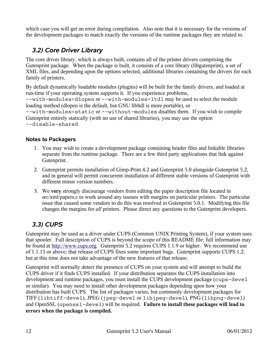which case you will get an error during compilation. Also note that it is necessary for the versions of the development packages to match exactly the versions of the runtime packages they are related to.

## <span id="page-11-1"></span>*3.2) Core Driver Library*

The core driver library, which is always built, contains all of the printer drivers comprising the Gutenprint package. When the package is built, it consists of a core library (libgutenprint), a set of XML files, and depending upon the options selected, additional libraries containing the drivers for each family of printers.

By default dynamically loadable modules (plugins) will be built for the family drivers, and loaded at run-time if your operating system supports it. If you experience problems,

--with-modules=dlopen or --with-modules=ltdl may be used to select the module loading method (dlopen is the default, but GNU libltdl is more portable), or

--with-modules=static or --without-modules disables them. If you wish to compile Gutenprint entirely statically (with no use of shared libraries), you may use the option --disable-shared.

#### **Notes to Packagers**

- 1. You may wish to create a development package containing header files and linkable libraries separate from the runtime package. There are a few third party applications that link against Gutenprint.
- 2. Gutenprint permits installation of Gimp-Print 4.2 and Gutenprint 5.0 alongside Gutenprint 5.2, and in general will permit concurrent installation of different stable versions of Gutenprint with different minor version numbers.
- 3. We **very** strongly discourage vendors from editing the paper description file located in src/xml/papers.c to work around any isssues with margins on particular printers. The particular issue that caused some vendors to do this was resolved in Gutenprint 5.0.1. Modifying this file changes the margins for *all* printers. Please direct any questions to the Gutenprint developers.

## <span id="page-11-0"></span>*3.3) CUPS*

Gutenprint may be used as a driver under CUPS (Common UNIX Printing System), if your system uses that spooler. Full description of CUPS is beyond the scope of this README file; full information may be found at [http://www.cups.org.](http://www.cups.org/) Gutenprint 5.2 requires CUPS 1.1.9 or higher. We recommend use of 1.1.15 or above; that release of CUPS fixes some important bugs. Gutenprint supports CUPS 1.2, but at this time does not take advantage of the new features of that release.

Gutenprint will normally detect the presence of CUPS on your system and will attempt to build the CUPS driver if it finds CUPS installed. If your distribution separates the CUPS installation into development and runtime packages, you must install the CUPS development package (cups-devel or similar). You may need to install other development packages depending upon how your distribution has built CUPS. The list of packages varies, but commonly development packages for TIFF (libtiff-devel), JPEG (jpeg-devel or libjpeg-devel), PNG (libpng-devel) and OpenSSL (openssl-devel) will be required. **Failure to install these packages will lead to errors when the package is compiled.**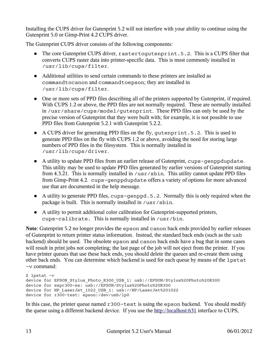Installing the CUPS driver for Gutenprint 5.2 will not interfere with your ability to continue using the Gutenprint 5.0 or Gimp-Print 4.2 CUPS driver.

The Gutenprint CUPS driver consists of the following components:

- The core Gutenprint CUPS driver, rastertogutenprint.5.2. This is a CUPS filter that converts CUPS raster data into printer-specific data. This is most commonly installed in /usr/lib/cups/filter.
- Additional utilities to send certain commands to these printers are installed as commandtocanon and commandtoepson; they are installed in /usr/lib/cups/filter.
- One or more sets of PPD files describing all of the printers supported by Gutenprint, if required. With CUPS 1.2 or above, the PPD files are not normally required. These are normally installed in /usr/share/cups/model/gutenprint. These PPD files can only be used by the precise version of Gutenprint that they were built with; for example, it is not possible to use PPD files from Gutenprint 5.2.1 with Gutenprint 5.2.2.
- A CUPS driver for generating PPD files on the fly, gutenprint.5.2. This is used to generate PPD files on the fly with CUPS 1.2 or above, avoiding the need for storing large numbers of PPD files in the filesystem. This is normally installed in /usr/lib/cups/driver.
- A utility to update PPD files from an earlier release of Gutenprint, cups-genppdupdate. This utility may be used to update PPD files generated by earlier versions of Gutenprint starting from 4.3.21. This is normally installed in /usr/sbin. This utility cannot update PPD files from Gimp-Print 4.2. cups-genppdupdate offers a variety of options for more advanced use that are documented in the help message.
- A utility to generate PPD files, cups-genppd.5.2. Normally this is only required when the package is built. This is normally installed in /usr/sbin.
- A utility to permit additional color calibration for Gutenprint-supported printers, cups-calibrate. This is normally installed in /usr/bin.

**Note**: Gutenprint 5.2 no longer provides the epson and canon back ends provided by earlier releases of Gutenprint to return printer status information. Instead, the standard back ends (such as the usb backend) should be used. The obsolete epson and canon back ends have a bug that in some cases will result in print jobs not completing; the last page of the job will not eject from the printer. If you have printer queues that use these back ends, you should delete the queues and re-create them using other back ends. You can determine which backend is used for each queue by means of the lpstat -v command:

```
$ lpstat -v
device for EPSON Stylus Photo R300 USB 1: usb://EPSON/Stylus%20Photo%20R300
device for espr300-ez: usb://EPSON/Stylus%20Photo%20R300
device for HP LaserJet 1022 USB 1: usb://HP/LaserJet%201022
device for r300-test: epson:/dev/usb/lp0
```
In this case, the printer queue named r300-test is using the epson backend. You should modify the queue using a different backend device. If you use the [http://localhost:631](http://localhost:631/) interface to CUPS,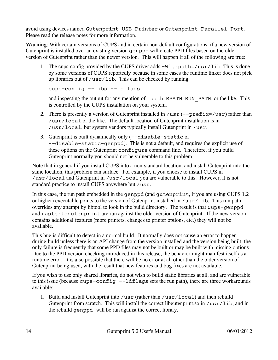avoid using devices named Gutenprint USB Printer or Gutenprint Parallel Port. Please read the release notes for more information.

**Warning**: With certain versions of CUPS and in certain non-default configurations, if a new version of Gutenprint is installed over an existing version genppd will create PPD files based on the older version of Gutenprint rather than the newer version. This will happen if all of the following are true:

1. The cups-config provided by the CUPS driver adds  $-W1$ , rpath=/usr/lib. This is done by some versions of CUPS reportedly because in some cases the runtime linker does not pick up libraries out of /usr/lib. This can be checked by running

```
cups-config --libs --ldflags
```
and inspecting the output for any mention of rpath, RPATH, RUN\_PATH, or the like. This is controlled by the CUPS installation on your system.

- 2. There is presently a version of Gutenprint installed in  $\ell$ usr (--prefix= $\ell$ usr) rather than /usr/local or the like. The default location of Gutenprint installation is in /usr/local, but system vendors typically install Gutenprint in /usr.
- 3. Gutenprint is built dynamically only (--disable-static or --disable-static-genppd). This is not a default, and requires the explicit use of these options on the Gutenprint configure command line. Therefore, if you build Gutenprint normally you should not be vulnerable to this problem.

Note that in general if you install CUPS into a non-standard location, and install Gutenprint into the same location, this problem can surface. For example, if you choose to install CUPS in /usr/local and Gutenprint in /usr/local you are vulnerable to this. However, it is not standard practice to install CUPS anywhere but /usr.

In this case, the run path embedded in the genppd (and gutenprint, if you are using CUPS 1.2 or higher) executable points to the version of Gutenprint installed in /usr/lib. This run path overrides any attempt by libtool to look in the build directory. The result is that cups-genppd and rastertogutenprint are run against the older version of Gutenprint. If the new version contains additional features (more printers, changes to printer options, etc.) they will not be available.

This bug is difficult to detect in a normal build. It normally does not cause an error to happen during build unless there is an API change from the version installed and the version being built; the only failure is frequently that some PPD files may not be built or may be built with missing options. Due to the PPD version checking introduced in this release, the behavior might manifest itself as a runtime error. It is also possible that there will be no error at all other than the older version of Gutenprint being used, with the result that new features and bug fixes are not available.

If you wish to use only shared libraries, do not wish to build static libraries at all, and are vulnerable to this issue (because cups-config --ldflags sets the run path), there are three workarounds available:

1. Build and install Gutenprint into /usr (rather than /usr/local) and then rebuild Gutenprint from scratch. This will install the correct libgutenprint.so in /usr/lib, and in the rebuild genppd will be run against the correct library.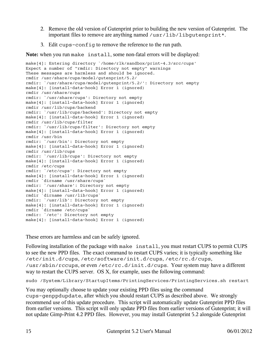- 2. Remove the old version of Gutenprint prior to building the new version of Gutenprint. The important files to remove are anything named /usr/lib/libgutenprint\*.
- 3. Edit cups-config to remove the reference to the run path.

**Note:** when you run make install, some non-fatal errors will be displayed:

```
make[4]: Entering directory `/home/rlk/sandbox/print-4.3/src/cups'
Expect a number of "rmdir: Directory not empty" warnings
These messages are harmless and should be ignored.
rmdir /usr/share/cups/model/gutenprint/5.2/
rmdir: `/usr/share/cups/model/gutenprint/5.2/': Directory not empty
make[4]: [install-data-hook] Error 1 (ignored)
rmdir /usr/share/cups
rmdir: `/usr/share/cups': Directory not empty
make[4]: [install-data-hook] Error 1 (ignored)
rmdir /usr/lib/cups/backend
rmdir: `/usr/lib/cups/backend': Directory not empty
make[4]: [install-data-hook] Error 1 (ignored)
rmdir /usr/lib/cups/filter
rmdir: `/usr/lib/cups/filter': Directory not empty
make[4]: [install-data-hook] Error 1 (ignored)
rmdir /usr/bin
rmdir: `/usr/bin': Directory not empty
make[4]: [install-data-hook] Error 1 (ignored)
rmdir /usr/lib/cups
rmdir: `/usr/lib/cups': Directory not empty
make[4]: [install-data-hook] Error 1 (ignored)
rmdir /etc/cups
rmdir: `/etc/cups': Directory not empty
make[4]: [install-data-hook] Error 1 (ignored)
rmdir `dirname /usr/share/cups`
rmdir: `/usr/share': Directory not empty
make[4]: [install-data-hook] Error 1 (ignored)
rmdir `dirname /usr/lib/cups`
rmdir: `/usr/lib': Directory not empty
make[4]: [install-data-hook] Error 1 (ignored)
rmdir `dirname /etc/cups`
rmdir: `/etc': Directory not empty
make[4]: [install-data-hook] Error 1 (ignored)
```
These errors are harmless and can be safely ignored.

Following installation of the package with make install, you must restart CUPS to permit CUPS to see the new PPD files. The exact command to restart CUPS varies; it is typically something like /etc/init.d/cups, /etc/software/init.d/cups, /etc/rc.d/cups, /usr/sbin/rccups, or even /etc/rc.d/init.d/cups. Your system may have a different way to restart the CUPS server. OS X, for example, uses the following command:

sudo /System/Library/StartupItems/PrintingServices/PrintingServices.sh restart

You may optionally choose to update your existing PPD files using the command cups-genppdupdate, after which you should restart CUPS as described above. We strongly recommend use of this update procedure. This script will automatically update Gutenprint PPD files from earlier versions. This script will only update PPD files from earlier versions of Gutenprint; it will not update Gimp-Print 4.2 PPD files. However, you may install Gutenprint 5.2 alongside Gutenprint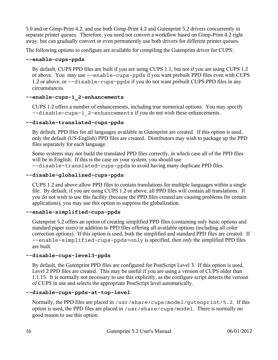5.0 and/or Gimp-Print 4.2, and use both Gimp-Print 4.2 and Gutenprint 5.2 drivers concurrently in separate printer queues. Therefore, you need not convert a workflow based on Gimp-Print 4.2 right away, but can gradually convert or even permanently use both drivers for different printer queues.

The following options to configure are available for compiling the Gutenprint driver for CUPS:

#### **--enable-cups-ppds**

By default, CUPS PPD files are built if you are using CUPS 1.1, but not if you are using CUPS 1.2 or above. You may use --enable-cups-ppds if you want prebuilt PPD files even with CUPS 1.2 or above, or --disable-cups-ppds if you do not want prebuilt CUPS PPD files in any circumstances.

#### **--enable-cups-1\_2-enhancements**

CUPS 1.2 offers a number of enhancements, including true numerical options. You may specify --disable-cups-1\_2-enhancements if you do not wish these enhancements.

#### **--disable-translated-cups-ppds**

By default, PPD files for all languages available in Gutenprint are created. If this option is used, only the default (US-English) PPD files are created. Distributors may wish to package up the PPD files separately for each language.

Some systems may not build the translated PPD files correctly, in which case all of the PPD files will be in English. If this is the case on your system, you should use --disable-translated-cups-ppds to avoid having many duplicate PPD files.

#### **--disable-globalized-cups-ppds**

CUPS 1.2 and above allow PPD files to contain translations for multiple languages within a single file. By default, if you are using CUPS 1.2 or above, all PPD files will contain all translations. If you do not wish to use this facility (because the PPD files created are causing problems for certain applications), you may use this option to suppress the globalization.

#### **--enable-simplified-cups-ppds**

Gutenprint 5.2 offers an option of creating simplified PPD files (containing only basic options and standard paper sizes) in addition to PPD files offering all available options (including all color correction options). If this option is used, both the simplified and standard PPD files are created. If --enable-simplified-cups-ppds=only is specified, then *only* the simplified PPD files are built.

#### **--disable-cups-level3-ppds**

By default, the Gutenprint PPD files are configured for PostScript Level 3. If this option is used, Level 2 PPD files are created. This may be useful if you are using a version of CUPS older than 1.1.15. It is normally not necessary to use this explicitly, as the configure script detects the version of CUPS in use and selects the appropriate PostScript level automatically.

#### **--disable-cups-ppds-at-top-level**

Normally, the PPD files are placed in /usr/share/cups/model/gutenprint/5.2. If this option is used, the PPD files are placed in /usr/share/cups/model. There is normally no good reason to use this option.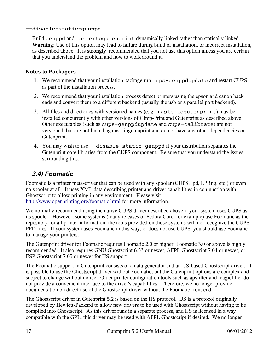#### **--disable-static-genppd**

Build genppd and rastertogutenprint dynamically linked rather than statically linked. **Warning**: Use of this option may lead to failure during build or installation, or incorrect installation, as described above. It is **strongly** recommended that you not use this option unless you are certain that you understand the problem and how to work around it.

#### **Notes to Packagers**

- 1. We recommend that your installation package run cups-genppdupdate and restart CUPS as part of the installation process.
- 2. We recommend that your installation process detect printers using the epson and canon back ends and convert them to a different backend (usually the usb or a parallel port backend).
- 3. All files and directories with versioned names (e. g. rastertogutenprint) may be installed concurrently with other versions of Gimp-Print and Gutenprint as described above. Other executables (such as cups-genppdupdate and cups-calibrate) are not versioned, but are not linked against libgutenprint and do not have any other dependencies on Gutenprint.
- 4. You may wish to use --disable-static-genppd if your distribution separates the Gutenprint core libraries from the CUPS component. Be sure that you understand the issues surrounding this.

## <span id="page-16-0"></span>*3.4) Foomatic*

Foomatic is a printer meta-driver that can be used with any spooler (CUPS, lpd, LPRng, etc.) or even no spooler at all. It uses XML data describing printer and driver capabilities in conjunction with Ghostscript to allow printing in any environment. Please visit <http://www.openprinting.org/foomatic.html>for more information.

We normally recommend using the native CUPS driver described above if your system uses CUPS as its spooler. However, some systems (many releases of Fedora Core, for example) use Foomatic as the repository for all printer information; the tools provided on those systems will not recognize the CUPS PPD files. If your system uses Foomatic in this way, or does not use CUPS, you should use Foomatic to manage your printers.

The Gutenprint driver for Foomatic requires Foomatic 2.0 or higher; Foomatic 3.0 or above is highly recommended. It also requires GNU Ghostscript 6.53 or newer, AFPL Ghostscript 7.04 or newer, or ESP Ghostscript 7.05 or newer for IJS support.

The Foomatic support in Gutenprint consists of a data generator and an IJS-based Ghostscript driver. It is possible to use the Ghostscript driver without Foomatic, but the Gutenprint options are complex and subject to change without notice. Older printer configuration tools such as apsfilter and magicfilter do not provide a convenient interface to the driver's capabilities. Therefore, we no longer provide documentation on direct use of the Ghostscript driver without the Foomatic front end.

The Ghostscript driver in Gutenprint 5.2 is based on the IJS protocol. IJS is a protocol originally developed by Hewlett-Packard to allow new drivers to be used with Ghostscript without having to be compiled into Ghostscript. As this driver runs in a separate process, and IJS is licensed in a way compatible with the GPL, this driver may be used with AFPL Ghostscript if desired. We no longer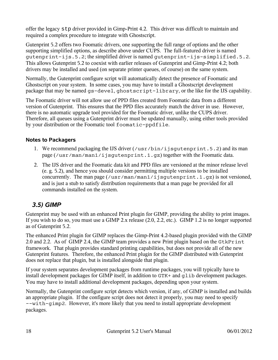offer the legacy stp driver provided in Gimp-Print 4.2. This driver was difficult to maintain and required a complex procedure to integrate with Ghostscript.

Gutenprint 5.2 offers two Foomatic drivers, one supporting the full range of options and the other supporting simplified options, as describe above under CUPS. The full-featured driver is named gutenprint-ijs.5.2; the simplified driver is named gutenprint-ijs-simplified.5.2. This allows Gutenprint 5.2 to coexist with earlier releases of Gutenprint and Gimp-Print 4.2; both drivers may be installed and used (on separate printer queues, of course) on the same system.

Normally, the Gutenprint configure script will automatically detect the presence of Foomatic and Ghostscript on your system. In some cases, you may have to install a Ghostscript development package that may be named gs-devel, ghostscript-library, or the like for the IJS capability.

The Foomatic driver will not allow use of PPD files created from Foomatic data from a different version of Gutenprint. This ensures that the PPD files accurately match the driver in use. However, there is no automatic upgrade tool provided for the Foomatic driver, unlike the CUPS driver. Therefore, all queues using a Gutenprint driver must be updated manually, using either tools provided by your distribution or the Foomatic tool foomatic-ppdfile.

#### **Notes to Packagers**

- 1. We recommend packaging the IJS driver (/usr/bin/ijsgutenprint.5.2) and its man page (/usr/man/man1/ijsgutenprint.1.gz) together with the Foomatic data.
- 2. The IJS driver and the Foomatic data kit and PPD files are versioned at the minor release level (e. g. 5.2), and hence you should consider permitting multiple versions to be installed concurrently. The man page (/usr/man/man1/ijsgutenprint.1.gz) is not versioned, and is just a stub to satisfy distribution requirements that a man page be provided for all commands installed on the system.

## <span id="page-17-0"></span>*3.5) GIMP*

Gutenprint may be used with an enhanced Print plugin for GIMP, providing the ability to print images. If you wish to do so, you must use a GIMP 2.x release (2.0, 2.2, etc.). GIMP 1.2 is no longer supported as of Gutenprint 5.2.

The enhanced Print plugin for GIMP replaces the Gimp-Print 4.2-based plugin provided with the GIMP 2.0 and 2.2. As of GIMP 2.4, the GIMP team provides a new Print plugin based on the GtkPrint framework. That plugin provides standard printing capabilities, but does not provide all of the new Gutenprint features. Therefore, the enhanced Print plugin for the GIMP distributed with Gutenprint does not replace that plugin, but is installed alongside that plugin.

If your system separates development packages from runtime packages, you will typically have to install development packages for GIMP itself, in addition to GTK+ and glib development packages. You may have to install additional development packages, depending upon your system.

Normally, the Gutenprint configure script detects which version, if any, of GIMP is installed and builds an appropriate plugin. If the configure script does not detect it properly, you may need to specify --with-gimp2. However, it's more likely that you need to install appropriate development packages.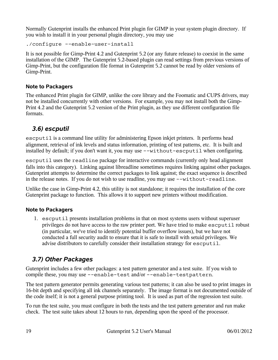Normally Gutenprint installs the enhanced Print plugin for GIMP in your system plugin directory. If you wish to install it in your personal plugin directory, you may use

```
./configure --enable-user-install
```
It is not possible for Gimp-Print 4.2 and Gutenprint 5.2 (or any future release) to coexist in the same installation of the GIMP. The Gutenprint 5.2-based plugin can read settings from previous versions of Gimp-Print, but the configuration file format in Gutenprint 5.2 cannot be read by older versions of Gimp-Print.

#### **Note to Packagers**

The enhanced Print plugin for GIMP, unlike the core library and the Foomatic and CUPS drivers, may not be installed concurrently with other versions. For example, you may not install both the Gimp-Print 4.2 and the Gutenprint 5.2 version of the Print plugin, as they use different configuration file formats.

## <span id="page-18-1"></span>*3.6) escputil*

escputil is a command line utility for administering Epson inkjet printers. It performs head alignment, retrieval of ink levels and status information, printing of test patterns, etc. It is built and installed by default; if you don't want it, you may use --without-escputil when configuring.

escputil uses the readline package for interactive commands (currently only head alignment falls into this category). Linking against libreadline sometimes requires linking against other packages. Gutenprint attempts to determine the correct packages to link against; the exact sequence is described in the release notes. If you do not wish to use readline, you may use --without-readline.

Unlike the case in Gimp-Print 4.2, this utility is not standalone; it requires the installation of the core Gutenprint package to function. This allows it to support new printers without modification.

## **Note to Packagers**

1. escputil presents installation problems in that on most systems users without superuser privileges do not have access to the raw printer port. We have tried to make escputil robust (in particular, we've tried to identify potential buffer overflow issues), but we have not conducted a full security audit to ensure that it is safe to install with setuid privileges. We advise distributors to carefully consider their installation strategy for escputil.

## <span id="page-18-0"></span>*3.7) Other Packages*

Gutenprint includes a few other packages: a test pattern generator and a test suite. If you wish to compile these, you may use --enable-test and/or --enable-testpattern.

The test pattern generator permits generating various test patterns; it can also be used to print images in 16-bit depth and specifying all ink channels separately. The image format is not documented outside of the code itself; it is not a general purpose printing tool. It is used as part of the regression test suite.

To run the test suite, you must configure in both the tests and the test pattern generator and run make check. The test suite takes about 12 hours to run, depending upon the speed of the processor.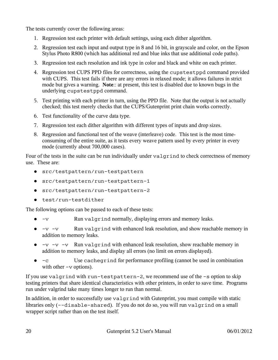The tests currently cover the following areas:

- 1. Regression test each printer with default settings, using each dither algorithm.
- 2. Regression test each input and output type in 8 and 16 bit, in grayscale and color, on the Epson Stylus Photo R800 (which has additional red and blue inks that use additional code paths).
- 3. Regression test each resolution and ink type in color and black and white on each printer.
- 4. Regression test CUPS PPD files for correctness, using the cupstestppd command provided with CUPS. This test fails if there are any errors in relaxed mode; it allows failures in strict mode but gives a warning. **Note**:: at present, this test is disabled due to known bugs in the underlying cupstestppd command.
- 5. Test printing with each printer in turn, using the PPD file. Note that the output is not actually checked; this test merely checks that the CUPS/Gutenprint print chain works correctly.
- 6. Test functionality of the curve data type.
- 7. Regression test each dither algorithm with different types of inputs and drop sizes.
- 8. Regression and functional test of the weave (interleave) code. This test is the most timeconsuming of the entire suite, as it tests every weave pattern used by every printer in every mode (currently about 700,000 cases).

Four of the tests in the suite can be run individually under valgrind to check correctness of memory use. These are:

- src/testpattern/run-testpattern
- src/testpattern/run-testpattern-1
- src/testpattern/run-testpattern-2
- test/run-testdither

The following options can be passed to each of these tests:

- -v Run valgrind normally, displaying errors and memory leaks.
- $\bullet$  -v -v Run valgrind with enhanced leak resolution, and show reachable memory in addition to memory leaks.
- $\bullet$  -v -v -v Run valgrind with enhanced leak resolution, show reachable memory in addition to memory leaks, and display all errors (no limit on errors displayed).
- -c Use cachegrind for performance profiling (cannot be used in combination with other  $-v$  options).

If you use valgrind with run-testpattern-2, we recommend use of the -s option to skip testing printers that share identical characteristics with other printers, in order to save time. Programs run under valgrind take many times longer to run than normal.

In addition, in order to successfully use valgrind with Gutenprint, you must compile with static libraries only (--disable-shared). If you do not do so, you will run valgrind on a small wrapper script rather than on the test itself.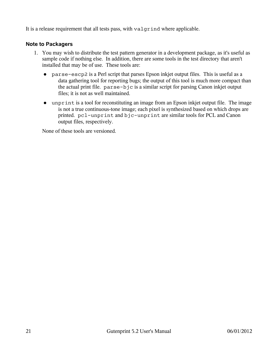It is a release requirement that all tests pass, with valgrind where applicable.

#### **Note to Packagers**

- 1. You may wish to distribute the test pattern generator in a development package, as it's useful as sample code if nothing else. In addition, there are some tools in the test directory that aren't installed that may be of use. These tools are:
	- parse-escp2 is a Perl script that parses Epson inkjet output files. This is useful as a data gathering tool for reporting bugs; the output of this tool is much more compact than the actual print file. parse-bjc is a similar script for parsing Canon inkjet output files; it is not as well maintained.
	- unprint is a tool for reconstituting an image from an Epson inkjet output file. The image is not a true continuous-tone image; each pixel is synthesized based on which drops are printed. pcl-unprint and bjc-unprint are similar tools for PCL and Canon output files, respectively.

None of these tools are versioned.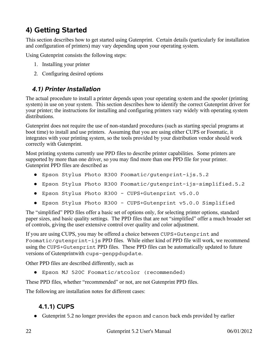# <span id="page-21-2"></span>**4) Getting Started**

This section describes how to get started using Gutenprint. Certain details (particularly for installation and configuration of printers) may vary depending upon your operating system.

Using Gutenprint consists the following steps:

- 1. Installing your printer
- 2. Configuring desired options

## <span id="page-21-1"></span>*4.1) Printer Installation*

The actual procedure to install a printer depends upon your operating system and the spooler (printing system) in use on your system. This section describes how to identify the correct Gutenprint driver for your printer; the instructions for installing and configuring printers vary widely with operating system distributions.

Gutenprint does not require the use of non-standard procedures (such as starting special programs at boot time) to install and use printers. Assuming that you are using either CUPS or Foomatic, it integrates with your printing system, so the tools provided by your distribution vendor should work correctly with Gutenprint.

Most printing systems currently use PPD files to describe printer capabilities. Some printers are supported by more than one driver, so you may find more than one PPD file for your printer. Gutenprint PPD files are described as

- Epson Stylus Photo R300 Foomatic/gutenprint-ijs.5.2
- Epson Stylus Photo R300 Foomatic/gutenprint-ijs-simplified.5.2
- Epson Stylus Photo R300 CUPS+Gutenprint v5.0.0
- Epson Stylus Photo R300 CUPS+Gutenprint v5.0.0 Simplified

The "simplified" PPD files offer a basic set of options only, for selecting printer options, standard paper sizes, and basic quality settings. The PPD files that are not "simplified" offer a much broader set of controls, giving the user extensive control over quality and color adjustment.

If you are using CUPS, you may be offered a choice between CUPS+Gutenprint and Foomatic/gutenprint-ijs PPD files. While either kind of PPD file will work, we recommend using the CUPS+Gutenprint PPD files. These PPD files can be automatically updated to future versions of Gutenprintwith cups-genppdupdate.

Other PPD files are described differently, such as

● Epson MJ 520C Foomatic/stcolor (recommended)

These PPD files, whether "recommended" or not, are not Gutenprint PPD files.

The following are installation notes for different cases:

## <span id="page-21-0"></span>**4.1.1) CUPS**

● Gutenprint 5.2 no longer provides the epson and canon back ends provided by earlier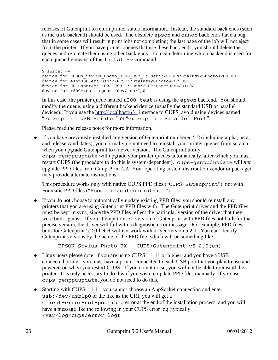releases of Gutenprint to return printer status information. Instead, the standard back ends (such as the usb backend) should be used. The obsolete epson and canon back ends have a bug that in some cases will result in print jobs not completing; the last page of the job will not eject from the printer. If you have printer queues that use these back ends, you should delete the queues and re-create them using other back ends. You can determine which backend is used for each queue by means of the lpstat -v command:

```
$ lpstat -v
device for EPSON Stylus Photo R300 USB 1: usb://EPSON/Stylus%20Photo%20R300
device for espr300-ez: usb://EPSON/Stylus%20Photo%20R300
device for HP LaserJet 1022 USB 1: usb://HP/LaserJet%201022
device for r300-test: \overline{e} epson:/dev/usb/lp0
```
In this case, the printer queue named r300-test is using the epson backend. You should modify the queue, using a different backend device (usually the standard USB or parallel devices). If you use the [http://localhost:631](http://localhost:631/) interface to CUPS, avoid using devices named "Gutenprint USB Printer" or "Gutenprint Parallel Port".

Please read the release notes for more information.

● If you have previously installed any version of Gutenprint numbered 5.2 (including alpha, beta, and release candidates), you normally do not need to reinstall your printer queues from scratch when you upgrade Gutenprint to a newer version. The Gutenprint utility cups-genppdupdate will upgrade your printer queues automatically, after which you must restart CUPS (the procedure to do this is system-dependent). cups-genppdupdate will *not* upgrade PPD files from Gimp-Print 4.2. Your operating system distribution vendor or packager may provide alternate instructions.

This procedure works only with native CUPS PPD files ("CUPS+Gutenprint"), not with Foomatic PPD files ("Foomatic/gutenprint-ijs").

● If you do not choose to automatically update existing PPD files, you should reinstall any printers that you are using Gutenprint PPD files with. The Gutenprint driver and the PPD files must be kept in sync, since the PPD files reflect the particular version of the driver that they were built against. If you attempt to use a version of Gutenprint with PPD files not built for that precise version, the driver will fail with a diagnostic error message. For example, PPD files built for Gutenprint 5.2.0-beta4 will not work with driver version 5.2.0. You can identify Gutenprint versions by the name of the PPD file, which will be something like:

EPSON Stylus Photo EX - CUPS+Gutenprint v5.2.0(en)

- Linux users please note: if you are using CUPS 1.1.11 or higher, and you have a USBconnected printer, you must have a printer connected to each USB port that you plan to use and powered on when you restart CUPS. If you do not do so, you will not be able to reinstall the printer. It is only necessary to do this if you wish to update PPD files manually; if you use cups-genppdupdate, you do not need to do this.
- Starting with CUPS 1.1.11, you cannot choose an AppSocket connection and enter usb:/dev/usblp0 or the like as the URI; you will get a client-error-not-possible error at the end of the installation process, and you will have a message like the following in your CUPS error log (typically /var/log/cups/error\_log):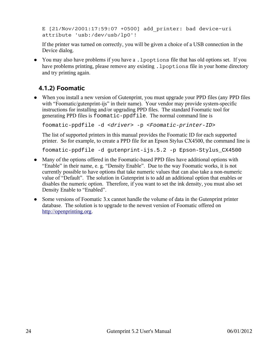E [21/Nov/2001:17:59:07 +0500] add\_printer: bad device-uri attribute 'usb:/dev/usb/lp0'!

If the printer was turned on correctly, you will be given a choice of a USB connection in the Device dialog.

● You may also have problems if you have a . 1 poptions file that has old options set. If you have problems printing, please remove any existing . 1 poptions file in your home directory and try printing again.

## <span id="page-23-0"></span>**4.1.2) Foomatic**

• When you install a new version of Gutenprint, you must upgrade your PPD files (any PPD files with "Foomatic/gutenprint-ijs" in their name). Your vendor may provide system-specific instructions for installing and/or upgrading PPD files. The standard Foomatic tool for generating PPD files is foomatic-ppdfile. The normal command line is

foomatic-ppdfile -d <driver> -p <Foomatic-printer-ID>

The list of supported printers in this manual provides the Foomatic ID for each supported printer. So for example, to create a PPD file for an Epson Stylus CX4500, the command line is

foomatic-ppdfile -d gutenprint-ijs.5.2 -p Epson-Stylus\_CX4500

- Many of the options offered in the Foomatic-based PPD files have additional options with "Enable" in their name, e. g. "Density Enable". Due to the way Foomatic works, it is not currently possible to have options that take numeric values that can also take a non-numeric value of "Default". The solution in Gutenprint is to add an additional option that enables or disables the numeric option. Therefore, if you want to set the ink density, you must also set Density Enable to "Enabled".
- Some versions of Foomatic 3.x cannot handle the volume of data in the Gutenprint printer database. The solution is to upgrade to the newest version of Foomatic offered on [http://openprinting.org.](http://openprinting.org/)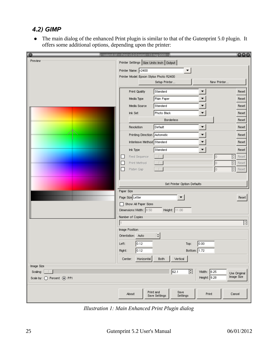## <span id="page-24-0"></span>*4.2) GIMP*

● The main dialog of the enhanced Print plugin is similar to that of the Gutenprint 5.0 plugin. It offers some additional options, depending upon the printer:

|                           | colors4.tif -- Print v5.2.0-beta4 - 13 Aug 2008 |                           |                             | 000                        |
|---------------------------|-------------------------------------------------|---------------------------|-----------------------------|----------------------------|
| Preview                   | Printer Settings Size Units: Inch   Output      |                           |                             |                            |
|                           | Printer Name: r2400                             |                           |                             |                            |
|                           | Printer Model: Epson Stylus Photo R2400         |                           |                             |                            |
|                           |                                                 | Setup Printer             | New Printer                 |                            |
|                           | <b>Print Quality</b>                            | Standard                  |                             | Reset                      |
|                           | Media Type                                      | Plain Paper               |                             | Reset                      |
|                           | Media Source                                    | Standard                  |                             | Reset                      |
|                           | Ink Set                                         | Photo Black               |                             | Reset                      |
|                           |                                                 | <b>Borderless</b>         |                             | Reset                      |
|                           | Resolution                                      | Default                   | ▼                           | Reset                      |
|                           | Printing Direction Automatic                    |                           |                             | Reset                      |
|                           | Interleave Method Standard                      |                           |                             | Reset                      |
|                           | Ink Type                                        | Standard                  | $\blacktriangledown$        | Reset                      |
|                           | Feed Sequence<br>⊔                              |                           | O.<br>$\frac{1}{\tau}$      | Reset                      |
|                           | П<br>Print Method                               |                           | O.<br>$\frac{A}{\pi}$       | Reset                      |
|                           | Platen Gap<br>$\Box$                            |                           | o<br>$\frac{A}{T}$          | Reset                      |
|                           |                                                 |                           |                             |                            |
|                           | Set Printer Option Defaults                     |                           |                             |                            |
|                           | Paper Size                                      |                           |                             |                            |
|                           | Page Size Letter<br>Show All Paper Sizes        |                           |                             | Reset                      |
|                           | Dimensions: Width: 8.50                         | Height: $11.00$           |                             |                            |
|                           | Number of Copies                                |                           |                             |                            |
|                           |                                                 |                           |                             | $\frac{A}{T}$              |
|                           | Image Position                                  |                           |                             |                            |
|                           | Orientation: Auto                               | $ \hat{\bm{\cdot}} $      |                             |                            |
|                           | 0.12<br>Left:                                   | Top:                      | 0.00                        |                            |
|                           | 0.12<br>Right:                                  | Bottom: 1.72              |                             |                            |
|                           | Horizontal<br>Center:                           | Vertical<br>Both          |                             |                            |
| Image Size                |                                                 |                           |                             |                            |
| Scaling:                  |                                                 | $\div$<br>62.1            | Width: 8.25<br>Height: 9.28 | Use Original<br>Image Size |
| Scale by: O Percent O PPI |                                                 |                           |                             |                            |
|                           |                                                 | Print and<br>Save         |                             |                            |
|                           | About                                           | Save Settings<br>Settings | Print<br>Cancel             |                            |
|                           |                                                 |                           |                             |                            |

*Illustration 1: Main Enhanced Print Plugin dialog*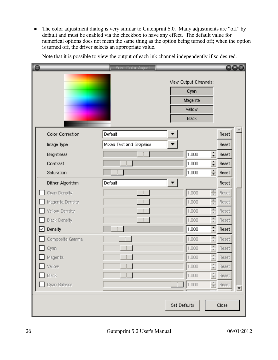• The color adjustment dialog is very similar to Gutenprint 5.0. Many adjustments are "off" by default and must be enabled via the checkbox to have any effect. The default value for numerical options does not mean the same thing as the option being turned off; when the option is turned off, the driver selects an appropriate value.

| le                    | <b>Print Color Adjust</b> |                                                                    |                  |                     | 000 |
|-----------------------|---------------------------|--------------------------------------------------------------------|------------------|---------------------|-----|
|                       |                           | View Output Channels:<br>Cyan<br>Magenta<br><b>Yellow</b><br>Black |                  |                     |     |
| Color Correction      | Default                   |                                                                    |                  | Reset               |     |
| Image Type            | Mixed Text and Graphics   |                                                                    |                  | Reset               |     |
| <b>Brightness</b>     |                           | 1.000                                                              | ÷                | Reset               |     |
| Contrast              |                           | 1.000                                                              | $\div$           | Reset               |     |
| Saturation            |                           | 1.000                                                              | $\div$           | Reset               |     |
| Dither Algorithm      | Default                   |                                                                    |                  | Reset               |     |
| Cyan Density          |                           | 1.000                                                              | $\frac{1}{\tau}$ | Reset               |     |
| Magenta Density       |                           | 1.000                                                              |                  | Reset               |     |
| Vellow Density        |                           | 1.000                                                              |                  | Reset               |     |
| <b>Black Density</b>  |                           | 1.000                                                              |                  | Reset               |     |
| Density<br>✓          |                           | 1.000                                                              | ÷                | Reset               |     |
| Composite Gamma       |                           | 1.000                                                              |                  | Reset               |     |
| Cyan                  |                           | 1.000                                                              |                  | Reset               |     |
| Magenta.              |                           | 1.000                                                              |                  | Reset               |     |
| $\blacksquare$ Yellow |                           | 1.000                                                              |                  | $\frac{1}{x}$ Reset |     |
| Black                 |                           | 1.000                                                              |                  | Reset               |     |
| Cyan Balance          |                           | 1.000                                                              | $\frac{A}{T}$    | Reset               | ▼   |
|                       |                           | Set Defaults                                                       |                  | Close               |     |

Note that it is possible to view the output of each ink channel independently if so desired.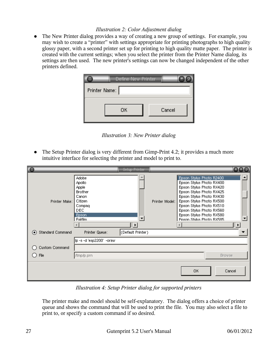#### *Illustration 2: Color Adjustment dialog*

• The New Printer dialog provides a way of creating a new group of settings. For example, you may wish to create a "printer" with settings appropriate for printing photographs to high quality glossy paper, with a second printer set up for printing to high quality matte paper. The printer is created with the current settings; when you select the printer from the Printer Name dialog, its settings are then used. The new printer's settings can now be changed independent of the other printers defined.



*Illustration 3: New Printer dialog*

• The Setup Printer dialog is very different from Gimp-Print 4.2; it provides a much more intuitive interface for selecting the printer and model to print to.

| le                                           |                                                                                                             | Setup Printer              |                |                                                                                                                                                                                                                                                                                      | 000    |
|----------------------------------------------|-------------------------------------------------------------------------------------------------------------|----------------------------|----------------|--------------------------------------------------------------------------------------------------------------------------------------------------------------------------------------------------------------------------------------------------------------------------------------|--------|
| Printer Make:                                | Adobe<br>Apollo<br>Apple<br><b>Brother</b><br>Canon<br>Citizen<br>Compaq<br>DEC.<br>Epson<br><b>Fuifilm</b> | ▼<br>$\blacktriangleright$ | Printer Model: | Epson Stylus Photo R2400<br>Epson Stylus Photo RX400<br>Epson Stylus Photo RX420<br>Epson Stylus Photo RX425<br>Epson Stylus Photo RX430<br>Epson Stylus Photo RX500<br>Epson Stylus Photo RX510<br>Epson Stylus Photo RX560<br>Epson Stylus Photo RX580<br>Foson Stylus Photo BX585 | ▸      |
| Standard Command<br>$\left( \bullet \right)$ | Printer Queue:                                                                                              | (Default Printer)          |                |                                                                                                                                                                                                                                                                                      |        |
|                                              | lp -s -d 'esp2200' -oraw                                                                                    |                            |                |                                                                                                                                                                                                                                                                                      |        |
| Custom Command                               |                                                                                                             |                            |                |                                                                                                                                                                                                                                                                                      |        |
| File                                         | /tmp/p.prn                                                                                                  |                            |                | <b>Browse</b>                                                                                                                                                                                                                                                                        |        |
|                                              |                                                                                                             |                            |                | 0K                                                                                                                                                                                                                                                                                   | Cancel |

*Illustration 4: Setup Printer dialog for supported printers*

The printer make and model should be self-explanatory. The dialog offers a choice of printer queue and shows the command that will be used to print the file. You may also select a file to print to, or specify a custom command if so desired.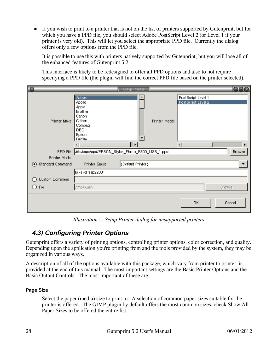● If you wish to print to a printer that is not on the list of printers supported by Gutenprint, but for which you have a PPD file, you should select Adobe PostScript Level 2 (or Level 1 if your printer is very old). This will let you select the appropriate PPD file. Currently the dialog offers only a few options from the PPD file.

It is possible to use this with printers natively supported by Gutenprint, but you will lose all of the enhanced features of Gutenprint 5.2.

This interface is likely to be redesigned to offer all PPD options and also to not require specifying a PPD file (the plugin will find the correct PPD file based on the printer selected).

| $\overline{\mathbf{e}}$ |                                                                                                                           | Setup Printer         |                |                                                                  | $\bullet\bullet\circ$ |
|-------------------------|---------------------------------------------------------------------------------------------------------------------------|-----------------------|----------------|------------------------------------------------------------------|-----------------------|
| Printer Make:           | <b>Adobe</b><br>Apollo<br>Apple<br><b>Brother</b><br>Canon<br>Citizen<br>Compaq<br>DEC.<br><b>Epson</b><br><b>Fuifilm</b> | $\blacktriangleright$ | Printer Model: | PostScript Level 1<br>PostScript Level 2<br>$\blacktriangleleft$ |                       |
|                         | PPD File: //etc/cups/ppd/EPSON_Stylus_Photo_R300_USB_1.ppd                                                                |                       |                |                                                                  | Browse                |
| Printer Model:          |                                                                                                                           |                       |                |                                                                  |                       |
| Standard Command<br>◉   | Printer Queue:                                                                                                            | (Default Printer)     |                |                                                                  |                       |
|                         | lp -s -d 'esp2200'                                                                                                        |                       |                |                                                                  |                       |
| Custom Command          |                                                                                                                           |                       |                |                                                                  |                       |
| File<br>( )             | /tmp/p.prn                                                                                                                |                       |                |                                                                  | Browse                |
|                         |                                                                                                                           |                       |                | OK                                                               | Cancel                |

*Illustration 5: Setup Printer dialog for unsupported printers*

## <span id="page-27-0"></span>*4.3) Configuring Printer Options*

Gutenprint offers a variety of printing options, controlling printer options, color correction, and quality. Depending upon the application you're printing from and the tools provided by the system, they may be organized in various ways.

A description of all of the options available with this package, which vary from printer to printer, is provided at the end of this manual. The most important settings are the Basic Printer Options and the Basic Output Controls. The most important of these are:

#### **Page Size**

Select the paper (media) size to print to. A selection of common paper sizes suitable for the printer is offered. The GIMP plugin by default offers the most common sizes; check Show All Paper Sizes to be offered the entire list.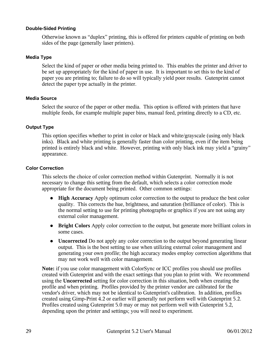#### **Double-Sided Printing**

Otherwise known as "duplex" printing, this is offered for printers capable of printing on both sides of the page (generally laser printers).

#### **Media Type**

Select the kind of paper or other media being printed to. This enables the printer and driver to be set up appropriately for the kind of paper in use. It is important to set this to the kind of paper you are printing to; failure to do so will typically yield poor results. Gutenprint cannot detect the paper type actually in the printer.

#### **Media Source**

Select the source of the paper or other media. This option is offered with printers that have multiple feeds, for example multiple paper bins, manual feed, printing directly to a CD, etc.

#### **Output Type**

This option specifies whether to print in color or black and white/grayscale (using only black inks). Black and white printing is generally faster than color printing, even if the item being printed is entirely black and white. However, printing with only black ink may yield a "grainy" appearance.

#### **Color Correction**

This selects the choice of color correction method within Gutenprint. Normally it is not necessary to change this setting from the default, which selects a color correction mode appropriate for the document being printed. Other common settings:

- **High Accuracy** Apply optimum color correction to the output to produce the best color quality. This corrects the hue, brightness, and saturation (brilliance of color). This is the normal setting to use for printing photographs or graphics if you are not using any external color management.
- **Bright Colors** Apply color correction to the output, but generate more brilliant colors in some cases.
- **Uncorrected** Do not apply any color correction to the output beyond generating linear output. This is the best setting to use when utilizing external color management and generating your own profile; the high accuracy modes employ correction algorithms that may not work well with color management.

**Note:** if you use color management with ColorSync or ICC profiles you should use profiles created with Gutenprint and with the exact settings that you plan to print with. We recommend using the **Uncorrected** setting for color correction in this situation, both when creating the profile and when printing. Profiles provided by the printer vendor are calibrated for the vendor's driver, which may not be identical to Gutenprint's calibration. In addition, profiles created using Gimp-Print 4.2 or earlier will generally not perform well with Gutenprint 5.2. Profiles created using Gutenprint 5.0 may or may not perform well with Gutenprint 5.2, depending upon the printer and settings; you will need to experiment.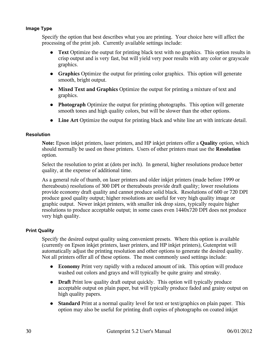#### **Image Type**

Specify the option that best describes what you are printing. Your choice here will affect the processing of the print job. Currently available settings include:

- **Text** Optimize the output for printing black text with no graphics. This option results in crisp output and is very fast, but will yield very poor results with any color or grayscale graphics.
- **Graphics** Optimize the output for printing color graphics. This option will generate smooth, bright output.
- **Mixed Text and Graphics** Optimize the output for printing a mixture of text and graphics.
- **Photograph** Optimize the output for printing photographs. This option will generate smooth tones and high quality colors, but will be slower than the other options.
- **Line Art** Optimize the output for printing black and white line art with intricate detail.

#### **Resolution**

**Note:** Epson inkjet printers, laser printers, and HP inkjet printers offer a **Quality** option, which should normally be used on those printers. Users of other printers must use the **Resolution** option.

Select the resolution to print at (dots per inch). In general, higher resolutions produce better quality, at the expense of additional time.

As a general rule of thumb, on laser printers and older inkjet printers (made before 1999 or thereabouts) resolutions of 300 DPI or thereabouts provide draft quality; lower resolutions provide economy draft quality and cannot produce solid black. Resolutions of 600 or 720 DPI produce good quality output; higher resolutions are useful for very high quality image or graphic output. Newer inkjet printers, with smaller ink drop sizes, typically require higher resolutions to produce acceptable output; in some cases even 1440x720 DPI does not produce very high quality.

#### **Print Quality**

Specify the desired output quality using convenient presets. Where this option is available (currently on Epson inkjet printers, laser printers, and HP inkjet printers), Gutenprint will automatically adjust the printing resolution and other options to generate the desired quality. Not all printers offer all of these options. The most commonly used settings include:

- **Economy** Print very rapidly with a reduced amount of ink. This option will produce washed out colors and grays and will typically be quite grainy and streaky.
- **Draft** Print low quality draft output quickly. This option will typically produce acceptable output on plain paper, but will typically produce faded and grainy output on high quality papers.
- **Standard** Print at a normal quality level for text or text/graphics on plain paper. This option may also be useful for printing draft copies of photographs on coated inkjet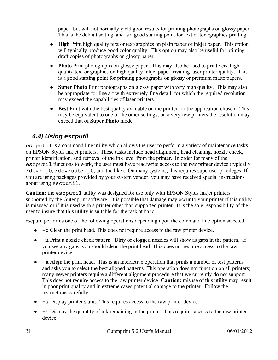paper, but will not normally yield good results for printing photographs on glossy paper. This is the default setting, and is a good starting point for text or text/graphics printing.

- **High** Print high quality text or text/graphics on plain paper or inkjet paper. This option will typically produce good color quality. This option may also be useful for printing draft copies of photographs on glossy paper.
- **Photo** Print photographs on glossy paper. This may also be used to print very high quality text or graphics on high quality inkjet paper, rivaling laser printer quality. This is a good starting point for printing photographs on glossy or premium matte papers.
- **Super Photo** Print photographs on glossy paper with very high quality. This may also be appropriate for line art with extremely fine detail, for which the required resolution may exceed the capabilities of laser printers.
- **Best** Print with the best quality available on the printer for the application chosen. This may be equivalent to one of the other settings; on a very few printers the resolution may exceed that of **Super Photo** mode.

## <span id="page-30-0"></span>*4.4) Using escputil*

escputil is a command line utility which allows the user to perform a variety of maintenance tasks on EPSON Stylus inkjet printers. These tasks include head alignment, head cleaning, nozzle check, printer identification, and retrieval of the ink level from the printer. In order for many of the escputil functions to work, the user must have read/write access to the raw printer device (typically /dev/lp0, /dev/usb/lp0, and the like). On many systems, this requires superuser privileges. If you are using packages provided by your system vendor, you may have received special instructions about using escputil.

**Caution:** the escputil utility was designed for use only with EPSON Stylus inkjet printers supported by the Gutenprint software. It is possible that damage may occur to your printer if this utility is misused or if it is used with a printer other than supported printer. It is the sole responsibility of the user to insure that this utility is suitable for the task at hand.

escputil performs one of the following operations depending upon the command line option selected:

- **-c** Clean the print head. This does not require access to the raw printer device.
- **-n** Print a nozzle check pattern. Dirty or clogged nozzles will show as gaps in the pattern. If you see any gaps, you should clean the print head. This does not require access to the raw printer device.
- **-a** Align the print head. This is an interactive operation that prints a number of test patterns and asks you to select the best aligned patterns. This operation does not function on all printers; many newer printers require a different alignment procedure that we currently do not support. This does not require access to the raw printer device. **Caution:** misuse of this utility may result in poor print quality and in extreme cases potential damage to the printer. Follow the instructions carefully!
- **-s** Display printer status. This requires access to the raw printer device.
- **-i** Display the quantity of ink remaining in the printer. This requires access to the raw printer device.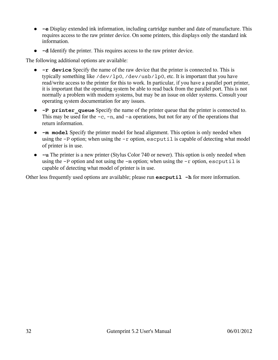- **-e** Display extended ink information, including cartridge number and date of manufacture. This requires access to the raw printer device. On some printers, this displays only the standard ink information.
- **-d** Identify the printer. This requires access to the raw printer device.

The following additional options are available:

- **-r device** Specify the name of the raw device that the printer is connected to. This is typically something like /dev/lp0, /dev/usb/lp0, etc. It is important that you have read/write access to the printer for this to work. In particular, if you have a parallel port printer, it is important that the operating system be able to read back from the parallel port. This is not normally a problem with modern systems, but may be an issue on older systems. Consult your operating system documentation for any issues.
- **-P printer\_queue** Specify the name of the printer queue that the printer is connected to. This may be used for the  $-c$ ,  $-n$ , and  $-a$  operations, but not for any of the operations that return information.
- **-m model** Specify the printer model for head alignment. This option is only needed when using the  $-P$  option; when using the  $-r$  option, escputil is capable of detecting what model of printer is in use.
- **-u** The printer is a new printer (Stylus Color 740 or newer). This option is only needed when using the  $-P$  option and not using the  $-m$  option; when using the  $-r$  option, escputil is capable of detecting what model of printer is in use.

Other less frequently used options are available; please run **escputil** -h for more information.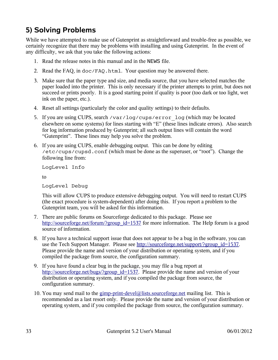# <span id="page-32-0"></span>**5) Solving Problems**

While we have attempted to make use of Gutenprint as straightforward and trouble-free as possible, we certainly recognize that there may be problems with installing and using Gutenprint. In the event of any difficulty, we ask that you take the following actions:

- 1. Read the release notes in this manual and in the NEWS file.
- 2. Read the FAQ, in  $doc/FAQ$ .html. Your question may be answered there.
- 3. Make sure that the paper type and size, and media source, that you have selected matches the paper loaded into the printer. This is only necessary if the printer attempts to print, but does not succeed or prints poorly. It is a good starting point if quality is poor (too dark or too light, wet ink on the paper, etc.).
- 4. Reset all settings (particularly the color and quality settings) to their defaults.
- 5. If you are using CUPS, search /var/log/cups/error\_log (which may be located elsewhere on some systems) for lines starting with "E" (these lines indicate errors). Also search for log information produced by Gutenprint; all such output lines will contain the word "Gutenprint". These lines may help you solve the problem.
- 6. If you are using CUPS, enable debugging output. This can be done by editing /etc/cups/cupsd.conf (which must be done as the superuser, or "root"). Change the following line from:

LogLevel Info

to

LogLevel Debug

This will allow CUPS to produce extensive debugging output. You will need to restart CUPS (the exact procedure is system-dependent) after doing this. If you report a problem to the Gutenprint team, you will be asked for this information.

- 7. There are public forums on Sourceforge dedicated to this package. Please see [http://sourceforge.net/forum/?group\\_id=1537](http://sourceforge.net/forum/?group_id=1537) for more information. The Help forum is a good source of information.
- 8. If you have a technical support issue that does not appear to be a bug in the software, you can use the Tech Support Manager. Please see [http://sourceforge.net/support/?group\\_id=1537.](http://sourceforge.net/support/?group_id=1537) Please provide the name and version of your distribution or operating system, and if you compiled the package from source, the configuration summary.
- 9. If you have found a clear bug in the package, you may file a bug report at [http://sourceforge.net/bugs/?group\\_id=1537.](http://sourceforge.net/bugs/?group_id=1537) Please provide the name and version of your distribution or operating system, and if you compiled the package from source, the configuration summary.
- 10. You may send mail to the [gimp-print-devel@lists.sourceforge.net](mailto:gimp-print-devel@lists.sourceforge.net) mailing list. This is recommended as a last resort only. Please provide the name and version of your distribution or operating system, and if you compiled the package from source, the configuration summary.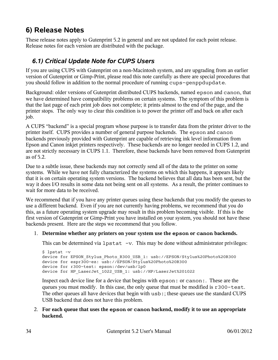## <span id="page-33-1"></span>**6) Release Notes**

These release notes apply to Gutenprint 5.2 in general and are not updated for each point release. Release notes for each version are distributed with the package.

## <span id="page-33-0"></span>*6.1) Critical Update Note for CUPS Users*

If you are using CUPS with Gutenprint on a non-Macintosh system, and are upgrading from an earlier version of Gutenprint or Gimp-Print, please read this note carefully as there are special procedures that you should follow in addition to the normal procedure of running cups-genppdupdate.

Background: older versions of Gutenprint distributed CUPS backends, named epson and canon, that we have determined have compatibility problems on certain systems. The symptom of this problem is that the last page of each print job does not complete; it prints almost to the end of the page, and the printer stops. The only way to clear this condition is to power the printer off and back on after each job.

A CUPS "backend" is a special program whose purpose is to transfer data from the printer driver to the printer itself. CUPS provides a number of general purpose backends. The epson and canon backends previously provided with Gutenprint are capable of retrieving ink level information from Epson and Canon inkjet printers respectively. These backends are no longer needed in CUPS 1.2, and are not strictly necessary in CUPS 1.1. Therefore, these backends have been removed from Gutenprint as of 5.2.

Due to a subtle issue, these backends may not correctly send all of the data to the printer on some systems. While we have not fully characterized the systems on which this happens, it appears likely that it is on certain operating system versions. The backend believes that all data has been sent, but the way it does I/O results in some data not being sent on all systems. As a result, the printer continues to wait for more data to be received.

We recommend that if you have any printer queues using these backends that you modify the queues to use a different backend. Even if you are not currently having problems, we recommend that you do this, as a future operating system upgrade may result in this problem becoming visible. If this is the first version of Gutenprint or Gimp-Print you have installed on your system, you should not have these backends present. Here are the steps we recommend that you follow.

#### 1. **Determine whether any printers on your system use the epson or canon backends.**

This can be determined via  $l$  pstat  $-v$ . This may be done without administrator privileges:

```
$ lpstat -v
device for EPSON Stylus Photo R300 USB 1: usb://EPSON/Stylus%20Photo%20R300
device for espr300-ez: usb://EPSON/Stylus%20Photo%20R300
device for r300-test: epson:/dev/usb/lp0
device for HP LaserJet 1022 USB 1: usb://HP/LaserJet%201022
```
Inspect each device line for a device that begins with epson: or canon:. These are the queues you must modify. In this case, the only queue that must be modified is r300-test. The other queues all have devices that begin with usb:; these queues use the standard CUPS USB backend that does not have this problem.

2. **For each queue that uses the epson or canon backend, modify it to use an appropriate backend.**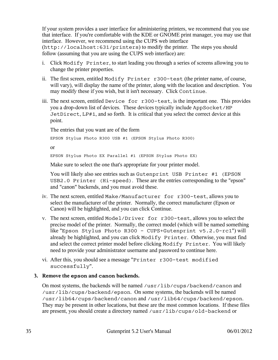If your system provides a user interface for administering printers, we recommend that you use that interface. If you're comfortable with the KDE or GNOME print manager, you may use that interface. However, we recommend using the CUPS web interface (http://localhost:631/printers) to modify the printer. The steps you should follow (assuming that you are using the CUPS web interface) are:

- i. Click Modify Printer, to start leading you through a series of screens allowing you to change the printer properties.
- ii. The first screen, entitled Modify Printer r300-test (the printer name, of course, will vary), will display the name of the printer, along with the location and description. You may modify these if you wish, but it isn't necessary. Click Continue.
- iii. The next screen, entitled Device for r300-test, is the important one. This provides you a drop-down list of devices. These devices typically include AppSocket/HP JetDirect, LP#1, and so forth. It is critical that you select the correct device at this point.

The entries that you want are of the form

EPSON Stylus Photo R300 USB #1 (EPSON Stylus Photo R300)

or

EPSON Stylus Photo EX Parallel #1 (EPSON Stylus Photo EX)

Make sure to select the one that's appropriate for your printer model.

You will likely also see entries such as Gutenprint USB Printer #1 (EPSON USB2.0 Printer (Hi-speed). These are the entries corresponding to the "epson" and "canon" backends, and you must avoid these.

- iv. The next screen, entitled Make/Manufacturer for r300-test, allows you to select the manufacturer of the printer. Normally, the correct manufacturer (Epson or Canon) will be highlighted, and you can click Continue.
- v. The next screen, entitled Model/Driver for r300-test, allows you to select the precise model of the printer. Normally, the correct model (which will be named something like "Epson Stylus Photo R300 - CUPS+Gutenprint v5.2.0-rc1") will already be highlighted, and you can click Modify Printer. Otherwise, you must find and select the correct printer model before clicking Modify Printer. You will likely need to provide your administrator username and password to continue here.
- vi. After this, you should see a message "Printer r300-test modified successfully".

#### **3. Remove the epson and canon backends.**

On most systems, the backends will be named /usr/lib/cups/backend/canon and /usr/lib/cups/backend/epson. On some systems, the backends will be named /usr/lib64/cups/backend/canon and /usr/lib64/cups/backend/epson. They may be present in other locations, but these are the most common locations. If these files are present, you should create a directory named /usr/lib/cups/old-backend or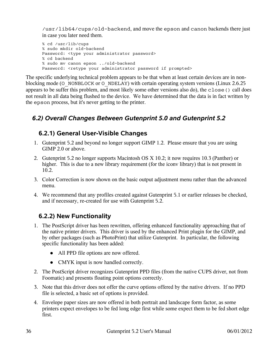/usr/lib64/cups/old-backend, and move the epson and canon backends there just in case you later need them.

```
% cd /usr/lib/cups
% sudo mkdir old-backend
Password: <type your administrator password>
% cd backend
% sudo mv canon epson ../old-backend
Password: <retype your administrator password if prompted>
```
The specific underlying technical problem appears to be that when at least certain devices are in nonblocking mode (O\_NONBLOCK or O\_NDELAY) with certain operating system versions (Linux 2.6.25 appears to be suffer this problem, and most likely some other versions also do), the close() call does not result in all data being flushed to the device. We have determined that the data is in fact written by the epson process, but it's never getting to the printer.

## <span id="page-35-2"></span>*6.2) Overall Changes Between Gutenprint 5.0 and Gutenprint 5.2*

## <span id="page-35-1"></span>**6.2.1) General User-Visible Changes**

- 1. Gutenprint 5.2 and beyond no longer support GIMP 1.2. Please ensure that you are using GIMP 2.0 or above.
- 2. Gutenprint 5.2 no longer supports Macintosh OS X 10.2; it now requires 10.3 (Panther) or higher. This is due to a new library requirement (for the iconv library) that is not present in 10.2.
- 3. Color Correction is now shown on the basic output adjustment menu rather than the advanced menu.
- 4. We recommend that any profiles created against Gutenprint 5.1 or earlier releases be checked, and if necessary, re-created for use with Gutenprint 5.2.

## <span id="page-35-0"></span>**6.2.2) New Functionality**

- 1. The PostScript driver has been rewritten, offering enhanced functionality approaching that of the native printer drivers. This driver is used by the enhanced Print plugin for the GIMP, and by other packages (such as PhotoPrint) that utilize Gutenprint. In particular, the following specific functionality has been added:
	- All PPD file options are now offered.
	- CMYK input is now handled correctly.
- 2. The PostScript driver recognizes Gutenprint PPD files (from the native CUPS driver, not from Foomatic) and presents floating point options correctly.
- 3. Note that this driver does not offer the curve options offered by the native drivers. If no PPD file is selected, a basic set of options is provided.
- 4. Envelope paper sizes are now offered in both portrait and landscape form factor, as some printers expect envelopes to be fed long edge first while some expect them to be fed short edge first.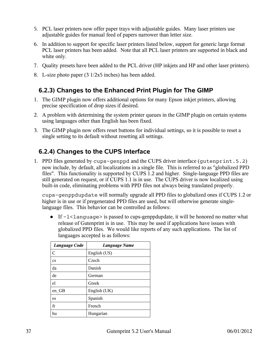- 5. PCL laser printers now offer paper trays with adjustable guides. Many laser printers use adjustable guides for manual feed of papers narrower than letter size.
- 6. In addition to support for specific laser printers listed below, support for generic large format PCL laser printers has been added. Note that all PCL laser printers are supported in black and white only.
- 7. Quality presets have been added to the PCL driver (HP inkjets and HP and other laser printers).
- 8. L-size photo paper (3 1/2x5 inches) has been added.

## **6.2.3) Changes to the Enhanced Print Plugin for The GIMP**

- 1. The GIMP plugin now offers additional options for many Epson inkjet printers, allowing precise specification of drop sizes if desired.
- 2. A problem with determining the system printer queues in the GIMP plugin on certain systems using languages other than English has been fixed.
- 3. The GIMP plugin now offers reset buttons for individual settings, so it is possible to reset a single setting to its default without resetting all settings.

## **6.2.4) Changes to the CUPS Interface**

1. PPD files generated by cups-genppd and the CUPS driver interface (gutenprint.5.2) now include, by default, all localizations in a single file. This is referred to as "globalized PPD files". This functionality is supported by CUPS 1.2 and higher. Single-language PPD files are still generated on request, or if CUPS 1.1 is in use. The CUPS driver is now localized using built-in code, eliminating problems with PPD files not always being translated properly.

cups-genppdupdate will normally upgrade all PPD files to globalized ones if CUPS 1.2 or higher is in use or if pregenerated PPD files are used, but will otherwise generate singlelanguage files. This behavior can be controlled as follows:

• If  $-1$ <language> is passed to cups-genppdupdate, it will be honored no matter what release of Gutenprint is in use. This may be used if applications have issues with globalized PPD files. We would like reports of any such applications. The list of languages accepted is as follows:

| <b>Language Code</b>   | <b>Language Name</b> |
|------------------------|----------------------|
| C                      | English (US)         |
| $\mathbf{c}\mathbf{s}$ | Czech                |
| da                     | Danish               |
| de                     | German               |
| e1                     | Greek                |
| en GB                  | English (UK)         |
| es                     | Spanish              |
| fr                     | French               |
| hu                     | Hungarian            |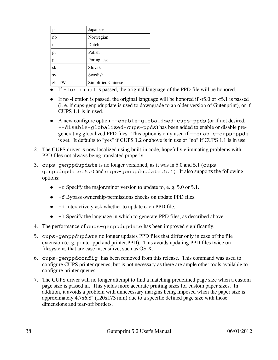| ja    | Japanese           |
|-------|--------------------|
| nb    | Norwegian          |
| nl    | Dutch              |
| pl    | Polish             |
| pt    | Portuguese         |
| sk    | Slovak             |
| SV    | Swedish            |
| zh TW | Simplified Chinese |

- If -loriginal is passed, the original language of the PPD file will be honored.
- If no -l option is passed, the original language will be honored if -r5.0 or -r5.1 is passed (i. e. if cups-genppdupdate is used to downgrade to an older version of Gutenprint), or if CUPS 1.1 is in used.
- A new configure option --enable-globalized-cups-ppds (or if not desired, --disable-globalized-cups-ppds) has been added to enable or disable pregenerating globalized PPD files. This option is only used if --enable-cups-ppds is set. It defaults to "yes" if CUPS 1.2 or above is in use or "no" if CUPS 1.1 is in use.
- 2. The CUPS driver is now localized using built-in code, hopefully eliminating problems with PPD files not always being translated properly.
- 3. cups-genppdupdate is no longer versioned, as it was in 5.0 and 5.1 (cupsgenppdupdate.5.0 and cups-genppdupdate.5.1). It also supports the following options:
	- $\bullet$  -r Specify the major minor version to update to, e. g. 5.0 or 5.1.
	- -f Bypass ownership/permissions checks on update PPD files.
	- -i Interactively ask whether to update each PPD file.
	- -l Specify the language in which to generate PPD files, as described above.
- 4. The performance of cups-genppdupdate has been improved significantly.
- 5. cups-genppdupdate no longer updates PPD files that differ only in case of the file extension (e. g. printer.ppd and printer.PPD). This avoids updating PPD files twice on filesystems that are case insensitive, such as OS X.
- 6. cups-genppdconfig has been removed from this release. This command was used to configure CUPS printer queues, but is not necessary as there are ample other tools available to configure printer queues.
- 7. The CUPS driver will no longer attempt to find a matching predefined page size when a custom page size is passed in. This yields more accurate printing sizes for custom paper sizes. In addition, it avoids a problem with unnecessary margins being imposed when the paper size is approximately 4.7x6.8" (120x173 mm) due to a specific defined page size with those dimensions and tear-off borders.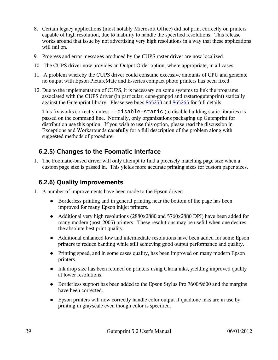- 8. Certain legacy applications (most notably Microsoft Office) did not print correctly on printers capable of high resolution, due to inability to handle the specified resolutions. This release works around that issue by not advertising very high resolutions in a way that these applications will fail on.
- 9. Progress and error messages produced by the CUPS raster driver are now localized.
- 10. The CUPS driver now provides an Output Order option, where appropriate, in all cases.
- 11. A problem whereby the CUPS driver could consume excessive amounts of CPU and generate no output with Epson PictureMate and E-series compact photo printers has been fixed.
- 12. Due to the implementation of CUPS, it is necessary on some systems to link the programs associated with the CUPS driver (in particular, cups-genppd and rastertogutenprint) statically against the Gutenprint library. Please see bugs [865253](https://sourceforge.net/tracker/index.php?func=detail&aid=865253&group_id=1537&atid=101537) and [865265](https://sourceforge.net/tracker/index.php?func=detail&aid=865265&group_id=1537&atid=101537) for full details.

This fix works correctly unless --disable-static (to disable building static libraries) is passed on the command line. Normally, only organizations packaging up Gutenprint for distribution use this option. If you wish to use this option, please read the discussion in Exceptions and Workarounds **carefully** for a full description of the problem along with suggested methods of procedure.

### **6.2.5) Changes to the Foomatic Interface**

1. The Foomatic-based driver will only attempt to find a precisely matching page size when a custom page size is passed in. This yields more accurate printing sizes for custom paper sizes.

### **6.2.6) Quality Improvements**

- 1. A number of improvements have been made to the Epson driver:
	- Borderless printing and in general printing near the bottom of the page has been improved for many Epson inkjet printers.
	- Additional very high resolutions (2880x2880 and 5760x2880 DPI) have been added for many modern (post-2005) printers. These resolutions may be useful when one desires the absolute best print quality.
	- Additional enhanced low and intermediate resolutions have been added for some Epson printers to reduce banding while still achieving good output performance and quality.
	- Printing speed, and in some cases quality, has been improved on many modern Epson printers.
	- Ink drop size has been retuned on printers using Claria inks, yielding improved quality at lower resolutions.
	- Borderless support has been added to the Epson Stylus Pro 7600/9600 and the margins have been corrected.
	- Epson printers will now correctly handle color output if quadtone inks are in use by printing in grayscale even though color is specified.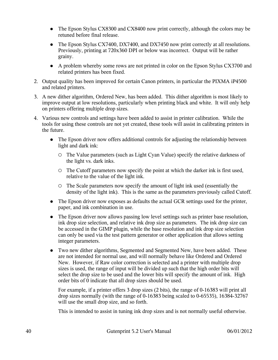- The Epson Stylus CX8300 and CX8400 now print correctly, although the colors may be retuned before final release.
- The Epson Stylus CX7400, DX7400, and DX7450 now print correctly at all resolutions. Previously, printing at 720x360 DPI or below was incorrect. Output will be rather grainy.
- A problem whereby some rows are not printed in color on the Epson Stylus CX3700 and related printers has been fixed.
- 2. Output quality has been improved for certain Canon printers, in particular the PIXMA iP4500 and related printers.
- 3. A new dither algorithm, Ordered New, has been added. This dither algorithm is most likely to improve output at low resolutions, particularly when printing black and white. It will only help on printers offering multiple drop sizes.
- 4. Various new controls and settings have been added to assist in printer calibration. While the tools for using these controls are not yet created, these tools will assist in calibrating printers in the future.
	- The Epson driver now offers additional controls for adjusting the relationship between light and dark ink:
		- The Value parameters (such as Light Cyan Value) specify the relative darkness of the light vs. dark inks.
		- The Cutoff parameters now specify the point at which the darker ink is first used, relative to the value of the light ink.
		- The Scale parameters now specify the amount of light ink used (essentially the density of the light ink). This is the same as the parameters previously called Cutoff.
	- The Epson driver now exposes as defaults the actual GCR settings used for the printer, paper, and ink combination in use.
	- The Epson driver now allows passing low level settings such as printer base resolution, ink drop size selection, and relative ink drop size as parameters. The ink drop size can be accessed in the GIMP plugin, while the base resolution and ink drop size selection can only be used via the test pattern generator or other application that allows setting integer parameters.
	- Two new dither algorithms, Segmented and Segmented New, have been added. These are not intended for normal use, and will normally behave like Ordered and Ordered New. However, if Raw color correction is selected and a printer with multiple drop sizes is used, the range of input will be divided up such that the high order bits will select the drop size to be used and the lower bits will specify the amount of ink. High order bits of 0 indicate that all drop sizes should be used.

For example, if a printer offers 3 drop sizes (2 bits), the range of 0-16383 will print all drop sizes normally (with the range of 0-16383 being scaled to 0-65535), 16384-32767 will use the small drop size, and so forth.

This is intended to assist in tuning ink drop sizes and is not normally useful otherwise.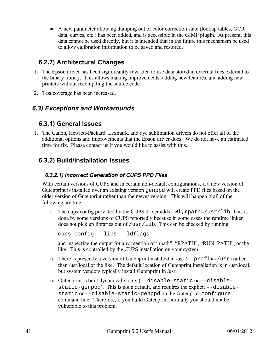● A new parameter allowing dumping out of color correction state (lookup tables, GCR data, curves, etc.) has been added, and is accessible in the GIMP plugin. At present, this data cannot be used directly, but it is intended that in the future this mechanism be used to allow calibration information to be saved and restored.

## **6.2.7) Architectural Changes**

- 1. The Epson driver has been significantly rewritten to use data stored in external files external to the binary library. This allows making improvements, adding new features, and adding new printers without recompiling the source code.
- 2. Test coverage has been increased.

## *6.3) Exceptions and Workarounds*

### **6.3.1) General Issues**

1. The Canon, Hewlett-Packard, Lexmark, and dye sublimation drivers do not offer all of the additional options and improvements that the Epson driver does. We do not have an estimated time for fix. Please contact us if you would like to assist with this.

## **6.3.2) Build/Installation Issues**

### *6.3.2.1) Incorrect Generation of CUPS PPD Files*

With certain versions of CUPS and in certain non-default configurations, if a new version of Gutenprint is installed over an existing version genppd will create PPD files based on the older version of Gutenprint rather than the newer version. This will happen if all of the following are true:

i. The cups-config provided by the CUPS driver adds  $-W1$ , rpath=/usr/lib. This is done by some versions of CUPS reportedly because in some cases the runtime linker does not pick up libraries out of /usr/lib. This can be checked by running

```
cups-config --libs --ldflags
```
and inspecting the output for any mention of "rpath", "RPATH", "RUN\_PATH", or the like. This is controlled by the CUPS installation on your system.

- ii. There is presently a version of Gutenprint installed in  $\text{/usr}$  (--prefix=/usr) rather than /usr/local or the like. The default location of Gutenprint installation is in /usr/local, but system vendors typically install Gutenprint in /usr.
- iii. Gutenprint is built dynamically only (--disable-static or --disablestatic-genppd). This is not a default, and requires the explicit --disablestatic or --disable-static-genppd on the Gutenprint configure command line. Therefore, if you build Gutenprint normally you should not be vulnerable to this problem.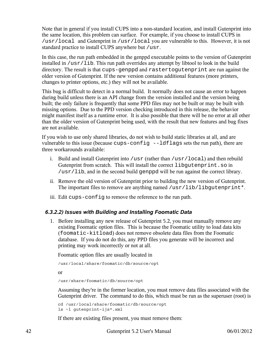Note that in general if you install CUPS into a non-standard location, and install Gutenprint into the same location, this problem can surface. For example, if you choose to install CUPS in /usr/local and Gutenprint in /usr/local you are vulnerable to this. However, it is not standard practice to install CUPS anywhere but /usr.

In this case, the run path embedded in the genppd executable points to the version of Gutenprint installed in /usr/lib. This run path overrides any attempt by libtool to look in the build directory. The result is that cups-genppd and rastertogutenprint are run against the older version of Gutenprint. If the new version contains additional features (more printers, changes to printer options, etc.) they will not be available.

This bug is difficult to detect in a normal build. It normally does not cause an error to happen during build unless there is an API change from the version installed and the version being built; the only failure is frequently that some PPD files may not be built or may be built with missing options. Due to the PPD version checking introduced in this release, the behavior might manifest itself as a runtime error. It is also possible that there will be no error at all other than the older version of Gutenprint being used, with the result that new features and bug fixes are not available.

If you wish to use only shared libraries, do not wish to build static libraries at all, and are vulnerable to this issue (because cups-config --ldflags sets the run path), there are three workarounds available:

- i. Build and install Gutenprint into /usr (rather than /usr/local) and then rebuild Gutenprint from scratch. This will install the correct libgutenprint.so in /usr/lib, and in the second build genppd will be run against the correct library.
- ii. Remove the old version of Gutenprint prior to building the new version of Gutenprint. The important files to remove are anything named /usr/lib/libgutenprint\*.
- iii. Edit cups-config to remove the reference to the run path.

### *6.3.2.2) Issues with Building and Installing Foomatic Data*

1. Before installing any new release of Gutenprint 5.2, you must manually remove any existing Foomatic option files. This is because the Foomatic utility to load data kits (foomatic-kitload) does not remove obsolete data files from the Foomatic database. If you do not do this, any PPD files you generate will be incorrect and printing may work incorrectly or not at all.

Foomatic option files are usually located in

/usr/local/share/foomatic/db/source/opt

or

/usr/share/foomatic/db/source/opt

Assuming they're in the former location, you must remove data files associated with the Gutenprint driver. The command to do this, which must be run as the superuser (root) is

cd /usr/local/share/foomatic/db/source/opt ls -l gutenprint-ijs\*.xml

If there are existing files present, you must remove them:

42 Gutenprint 5.2 User's Manual 06/01/2012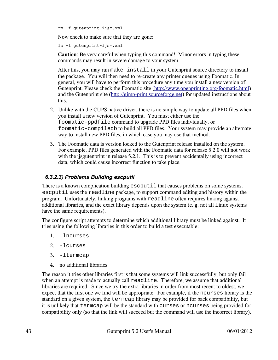rm -f gutenprint-ijs\*.xml

Now check to make sure that they are gone:

ls -l gutenprint-ijs\*.xml

**Caution**: Be very careful when typing this command! Minor errors in typing these commands may result in severe damage to your system.

After this, you may run make install in your Gutenprint source directory to install the package. You will then need to re-create any printer queues using Foomatic. In general, you will have to perform this procedure any time you install a new version of Gutenprint. Please check the Foomatic site [\(http://www.openprinting.org/foomatic.html\)](http://www.openprinting.org/foomatic.html) and the Gutenprint site [\(http://gimp-print.sourceforge.net\)](http://gimp-print.sourceforge.net/) for updated instructions about this.

- 2. Unlike with the CUPS native driver, there is no simple way to update all PPD files when you install a new version of Gutenprint. You must either use the foomatic-ppdfile command to upgrade PPD files individually, or foomatic-compiledb to build all PPD files. Your system may provide an alternate way to install new PPD files, in which case you may use that method.
- 3. The Foomatic data is version locked to the Gutenprint release installed on the system. For example, PPD files generated with the Foomatic data for release 5.2.0 will not work with the ijsgutenprint in release 5.2.1. This is to prevent accidentally using incorrect data, which could cause incorrect function to take place.

### *6.3.2.3) Problems Building escputil*

There is a known complication building escputil that causes problems on some systems. escputil uses the readline package, to support command editing and history within the program. Unfortunately, linking programs with readline often requires linking against additional libraries, and the exact library depends upon the system (e. g. not all Linux systems have the same requirements).

The configure script attempts to determine which additional library must be linked against. It tries using the following libraries in this order to build a test executable:

- 1. -lncurses
- 2. -lcurses
- 3. -ltermcap
- 4. no additional libraries

The reason it tries other libraries first is that some systems will link successfully, but only fail when an attempt is made to actually call readline. Therefore, we assume that additional libraries are required. Since we try the extra libraries in order from most recent to oldest, we expect that the first one we find will be appropriate. For example, if the ncurses library is the standard on a given system, the termcap library may be provided for back compatibility, but it is unlikely that termcap will be the standard with curses or ncurses being provided for compatibility only (so that the link will succeed but the command will use the incorrect library).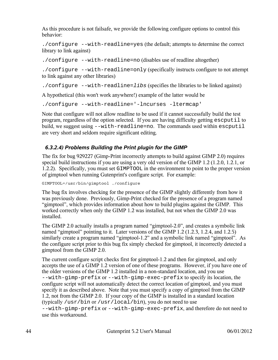As this procedure is not failsafe, we provide the following configure options to control this behavior:

./configure --with-readline=yes (the default; attempts to determine the correct library to link against)

./configure --with-readline=no (disables use of readline altogether)

./configure --with-readline=only (specifically instructs configure to not attempt to link against any other libraries)

./configure  $--with-readline=libs$  (specifies the libraries to be linked against)

A hypothetical (this won't work anywhere!) example of the latter would be

./configure --with-readline='-lncurses -ltermcap'

Note that configure will not allow readline to be used if it cannot successfully build the test program, regardless of the option selected. If you are having difficulty getting escputil to build, we suggest using --with-readline=no. The commands used within escputil are very short and seldom require significant editing.

### *6.3.2.4) Problems Building the Print plugin for the GIMP*

The fix for bug 929227 (Gimp-Print incorrectly attempts to build against GIMP 2.0) requires special build instructions if you are using a very old version of the GIMP 1.2 (1.2.0, 1.2.1, or 1.2.2). Specifically, you must set GIMPTOOL in the environment to point to the proper version of gimptool when running Gutenprint's configure script. For example:

GIMPTOOL=/usr/bin/gimptool ./configure

The bug fix involves checking for the presence of the GIMP slightly differently from how it was previously done. Previously, Gimp-Print checked for the presence of a program named "gimptool", which provides information about how to build plugins against the GIMP. This worked correctly when only the GIMP 1.2 was installed, but not when the GIMP 2.0 was installed.

The GIMP 2.0 actually installs a program named "gimptool-2.0", and creates a symbolic link named "gimptool" pointing to it. Later versions of the GIMP 1.2 (1.2.3, 1.2.4, and 1.2.5) similarly create a program named "gimptool-1.2" and a symbolic link named "gimptool". As the configure script prior to this bug fix simply checked for gimptool, it incorrectly detected a gimptool from the GIMP 2.0.

The current configure script checks first for gimptool-1.2 and then for gimptool, and only accepts the use of a GIMP 1.2 version of one of these programs. However, if you have one of the older versions of the GIMP 1.2 installed in a non-standard location, and you use --with-gimp-prefix or --with-gimp-exec-prefix to specify its location, the configure script will not automatically detect the correct location of gimptool, and you must specify it as described above. Note that you must specify a copy of gimptool from the GIMP 1.2, not from the GIMP 2.0. If your copy of the GIMP is installed in a standard location (typically /usr/bin or /usr/local/bin), you do not need to use --with-gimp-prefix or --with-gimp-exec-prefix, and therefore do not need to

use this workaround.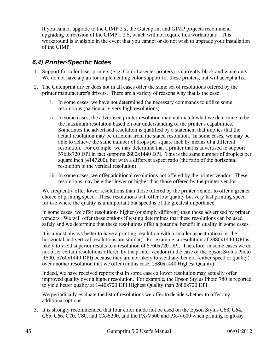If you cannot upgrade to the GIMP 2.x, the Gutenprint and GIMP projects recommend upgrading to revision of the GIMP 1.2.5, which will not require this workaround. This workaround is available in the event that you cannot or do not wish to upgrade your installation of the GIMP.

### *6.4) Printer-Specific Notes*

- 1. Support for color laser printers (e. g. Color LaserJet printers) is currently black and white only. We do not have a plan for implementing color support for these printers, but will accept a fix.
- 2. The Gutenprint driver does not in all cases offer the same set of resolutions offered by the printer manufacturer's drivers. There are a variety of reasons why that is the case:
	- i. In some cases, we have not determined the necessary commands to utilize some resolutions (particularly very high resolutions).
	- ii. In some cases, the advertised printer resolution may not match what we determine to be the maximum resolution based on our understanding of the printer's capabilities. Sometimes the advertised resolution is qualified by a statement that implies that the actual resolution may be different from the stated resolution. In some cases, we may be able to achieve the same number of drops per square inch by means of a different resolution. For example, we may determine that a printer that is advertised to support 5760x720 DPI in fact supports 2880x1440 DPI. This is the same number of droplets per square inch (4147200), but with a different aspect ratio (the ratio of the horizontal resolution to the vertical resolution).
	- iii. In some cases, we offer additional resolutions not offered by the printer vendor. These resolutions may be either lower or higher than those offered by the printer vendor.

We frequently offer lower resolutions than those offered by the printer vendor to offer a greater choice of printing speed. These resolutions will offer low quality but very fast printing speed for use where the quality is unimportant but speed is of the greatest importance.

In some cases, we offer resolutions higher (or simply different) than those advertised by printer vendors. We will offer these options if testing determines that these resolutions can be used safely and we determine that these resolutions offer a potential benefit in quality in some cases.

It is almost always better to have a printing resolution with a smaller aspect ratio (i. e. the horizontal and vertical resolutions are similar). For example, a resolution of 2880x1440 DPI is likely to yield superior results to a resolution of 5760x720 DPI. Therefore, in some cases we do not offer certain resolutions offered by the printer vendor (in the case of the Epson Stylus Photo R800, 5760x1440 DPI) because they are not likely to yield any benefit (either speed or quality) over another resolution that we offer (in this case, 2880x1440 Highest Quality).

Indeed, we have received reports that in some cases a lower resolution may actually offer improved quality over a higher resolution. For example, the Epson Stylus Photo 780 is reported to yield better quality at 1440x720 DPI Highest Quality than 2880x720 DPI.

We periodically evaluate the list of resolutions we offer to decide whether to offer any additional options.

3. It is strongly recommended that four color mode not be used on the Epson Stylus C63, C64, C65, C66, C70, C80, and CX-5200, and the PX-V500 and PX-V600 when printing to glossy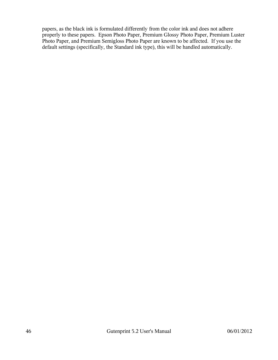papers, as the black ink is formulated differently from the color ink and does not adhere properly to these papers. Epson Photo Paper, Premium Glossy Photo Paper, Premium Luster Photo Paper, and Premium Semigloss Photo Paper are known to be affected. If you use the default settings (specifically, the Standard ink type), this will be handled automatically.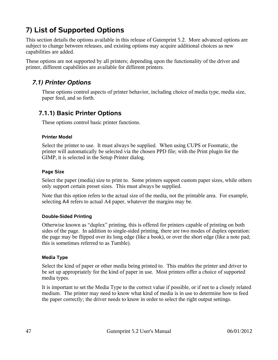# **7) List of Supported Options**

This section details the options available in this release of Gutenprint 5.2. More advanced options are subject to change between releases, and existing options may acquire additional choices as new capabilities are added.

These options are not supported by all printers; depending upon the functionality of the driver and printer, different capabilities are available for different printers.

## *7.1) Printer Options*

These options control aspects of printer behavior, including choice of media type, media size, paper feed, and so forth.

### **7.1.1) Basic Printer Options**

These options control basic printer functions.

#### **Printer Model**

Select the printer to use. It must always be supplied. When using CUPS or Foomatic, the printer will automatically be selected via the chosen PPD file; with the Print plugin for the GIMP, it is selected in the Setup Printer dialog.

#### **Page Size**

Select the paper (media) size to print to. Some printers support custom paper sizes, while others only support certain preset sizes. This must always be supplied.

Note that this option refers to the actual size of the media, not the printable area. For example, selecting A4 refers to actual A4 paper, whatever the margins may be.

### **Double-Sided Printing**

Otherwise known as "duplex" printing, this is offered for printers capable of printing on both sides of the page. In addition to single-sided printing, there are two modes of duplex operation: the page may be flipped over its long edge (like a book), or over the short edge (like a note pad; this is sometimes referred to as Tumble).

#### **Media Type**

Select the kind of paper or other media being printed to. This enables the printer and driver to be set up appropriately for the kind of paper in use. Most printers offer a choice of supported media types.

It is important to set the Media Type to the correct value if possible, or if not to a closely related medium. The printer may need to know what kind of media is in use to determine how to feed the paper correctly; the driver needs to know in order to select the right output settings.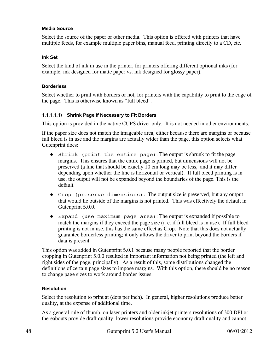#### **Media Source**

Select the source of the paper or other media. This option is offered with printers that have multiple feeds, for example multiple paper bins, manual feed, printing directly to a CD, etc.

#### **Ink Set**

Select the kind of ink in use in the printer, for printers offering different optional inks (for example, ink designed for matte paper vs. ink designed for glossy paper).

#### **Borderless**

Select whether to print with borders or not, for printers with the capability to print to the edge of the page. This is otherwise known as "full bleed".

#### **1.1.1.1.1) Shrink Page If Necessary to Fit Borders**

This option is provided in the native CUPS driver only. It is not needed in other environments.

If the paper size does not match the imageable area, either because there are margins or because full bleed is in use and the margins are actually wider than the page, this option selects what Gutenprint does:

- Shrink (print the entire page): The output is shrunk to fit the page margins. This ensures that the entire page is printed, but dimensions will not be preserved (a line that should be exactly 10 cm long may be less, and it may differ depending upon whether the line is horizontal or vertical). If full bleed printing is in use, the output will not be expanded beyond the boundaries of the page. This is the default.
- Crop (preserve dimensions): The output size is preserved, but any output that would lie outside of the margins is not printed. This was effectively the default in Gutenprint 5.0.0.
- Expand (use maximum page area): The output is expanded if possible to match the margins if they exceed the page size (i. e. if full bleed is in use). If full bleed printing is not in use, this has the same effect as Crop. Note that this does not actually guarantee borderless printing; it only allows the driver to print beyond the borders if data is present.

This option was added in Gutenprint 5.0.1 because many people reported that the border cropping in Gutenprint 5.0.0 resulted in important information not being printed (the left and right sides of the page, principally). As a result of this, some distributions changed the definitions of certain page sizes to impose margins. With this option, there should be no reason to change page sizes to work around border issues.

#### **Resolution**

Select the resolution to print at (dots per inch). In general, higher resolutions produce better quality, at the expense of additional time.

As a general rule of thumb, on laser printers and older inkjet printers resolutions of 300 DPI or thereabouts provide draft quality; lower resolutions provide economy draft quality and cannot

48 Gutenprint 5.2 User's Manual 06/01/2012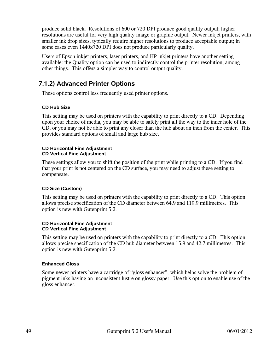produce solid black. Resolutions of 600 or 720 DPI produce good quality output; higher resolutions are useful for very high quality image or graphic output. Newer inkjet printers, with smaller ink drop sizes, typically require higher resolutions to produce acceptable output; in some cases even 1440x720 DPI does not produce particularly quality.

Users of Epson inkjet printers, laser printers, and HP inkjet printers have another setting available: the Quality option can be used to indirectly control the printer resolution, among other things. This offers a simpler way to control output quality.

### **7.1.2) Advanced Printer Options**

These options control less frequently used printer options.

### **CD Hub Size**

This setting may be used on printers with the capability to print directly to a CD. Depending upon your choice of media, you may be able to safely print all the way to the inner hole of the CD, or you may not be able to print any closer than the hub about an inch from the center. This provides standard options of small and large hub size.

#### **CD Horizontal Fine Adjustment CD Vertical Fine Adjustment**

These settings allow you to shift the position of the print while printing to a CD. If you find that your print is not centered on the CD surface, you may need to adjust these setting to compensate.

#### **CD Size (Custom)**

This setting may be used on printers with the capability to print directly to a CD. This option allows precise specification of the CD diameter between 64.9 and 119.9 millimetres. This option is new with Gutenprint 5.2.

#### **CD Horizontal Fine Adjustment CD Vertical Fine Adjustment**

This setting may be used on printers with the capability to print directly to a CD. This option allows precise specification of the CD hub diameter between 15.9 and 42.7 millimetres. This option is new with Gutenprint 5.2.

#### **Enhanced Gloss**

Some newer printers have a cartridge of "gloss enhancer", which helps solve the problem of pigment inks having an inconsistent lustre on glossy paper. Use this option to enable use of the gloss enhancer.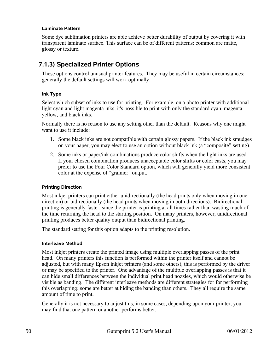#### **Laminate Pattern**

Some dye sublimation printers are able achieve better durability of output by covering it with transparent laminate surface. This surface can be of different patterns: common are matte, glossy or texture.

### **7.1.3) Specialized Printer Options**

These options control unusual printer features. They may be useful in certain circumstances; generally the default settings will work optimally.

#### **Ink Type**

Select which subset of inks to use for printing. For example, on a photo printer with additional light cyan and light magenta inks, it's possible to print with only the standard cyan, magenta, yellow, and black inks.

Normally there is no reason to use any setting other than the default. Reasons why one might want to use it include:

- 1. Some black inks are not compatible with certain glossy papers. If the black ink smudges on your paper, you may elect to use an option without black ink (a "composite" setting).
- 2. Some inks or paper/ink combinations produce color shifts when the light inks are used. If your chosen combination produces unacceptable color shifts or color casts, you may prefer to use the Four Color Standard option, which will generally yield more consistent color at the expense of "grainier" output.

#### **Printing Direction**

Most inkjet printers can print either unidirectionally (the head prints only when moving in one direction) or bidirectionally (the head prints when moving in both directions). Bidirectional printing is generally faster, since the printer is printing at all times rather than wasting much of the time returning the head to the starting position. On many printers, however, unidirectional printing produces better quality output than bidirectional printing.

The standard setting for this option adapts to the printing resolution.

#### **Interleave Method**

Most inkjet printers create the printed image using multiple overlapping passes of the print head. On many printers this function is performed within the printer itself and cannot be adjusted, but with many Epson inkjet printers (and some others), this is performed by the driver or may be specified to the printer. One advantage of the multiple overlapping passes is that it can hide small differences between the individual print head nozzles, which would otherwise be visible as banding. The different interleave methods are different strategies for for performing this overlapping; some are better at hiding the banding than others. They all require the same amount of time to print.

Generally it is not necessary to adjust this; in some cases, depending upon your printer, you may find that one pattern or another performs better.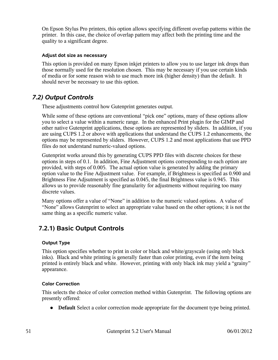On Epson Stylus Pro printers, this option allows specifying different overlap patterns within the printer. In this case, the choice of overlap pattern may affect both the printing time and the quality to a significant degree.

#### **Adjust dot size as necessary**

This option is provided on many Epson inkjet printers to allow you to use larger ink drops than those normally used for the resolution chosen. This may be necessary if you use certain kinds of media or for some reason wish to use much more ink (higher density) than the default. It should never be necessary to use this option.

### *7.2) Output Controls*

These adjustments control how Gutenprint generates output.

While some of these options are conventional "pick one" options, many of these options allow you to select a value within a numeric range. In the enhanced Print plugin for the GIMP and other native Gutenprint applications, these options are represented by sliders. In addition, if you are using CUPS 1.2 or above with applications that understand the CUPS 1.2 enhancements, the options may be represented by sliders. However, CUPS 1.2 and most applications that use PPD files do not understand numeric-valued options.

Gutenprint works around this by generating CUPS PPD files with discrete choices for these options in steps of 0.1. In addition, Fine Adjustment options corresponding to each option are provided, with steps of 0.005. The actual option value is generated by adding the primary option value to the Fine Adjustment value. For example, if Brightness is specified as 0.900 and Brightness Fine Adjsutment is specified as 0.045, the final Brightness value is 0.945. This allows us to provide reasonably fine granularity for adjustments without requiring too many discrete values.

Many options offer a value of "None" in addition to the numeric valued options. A value of "None" allows Gutenprint to select an appropriate value based on the other options; it is not the same thing as a specific numeric value.

## **7.2.1) Basic Output Controls**

### **Output Type**

This option specifies whether to print in color or black and white/grayscale (using only black inks). Black and white printing is generally faster than color printing, even if the item being printed is entirely black and white. However, printing with only black ink may yield a "grainy" appearance.

#### **Color Correction**

This selects the choice of color correction method within Gutenprint. The following options are presently offered:

● **Default** Select a color correction mode appropriate for the document type being printed.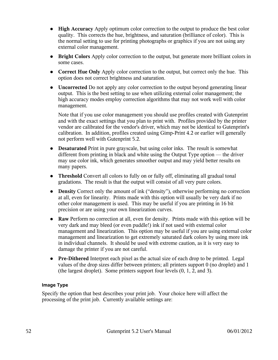- **High Accuracy** Apply optimum color correction to the output to produce the best color quality. This corrects the hue, brightness, and saturation (brilliance of color). This is the normal setting to use for printing photographs or graphics if you are not using any external color management.
- **Bright Colors** Apply color correction to the output, but generate more brilliant colors in some cases.
- **Correct Hue Only** Apply color correction to the output, but correct only the hue. This option does not correct brightness and saturation.
- **Uncorrected** Do not apply any color correction to the output beyond generating linear output. This is the best setting to use when utilizing external color management; the high accuracy modes employ correction algorithms that may not work well with color management.

Note that if you use color management you should use profiles created with Gutenprint and with the exact settings that you plan to print with. Profiles provided by the printer vendor are calibrated for the vendor's driver, which may not be identical to Gutenprint's calibration. In addition, profiles created using Gimp-Print 4.2 or earlier will generally not perform well with Gutenprint 5.2.

- **Desaturated** Print in pure grayscale, but using color inks. The result is somewhat different from printing in black and white using the Output Type option — the driver may use color ink, which generates smoother output and may yield better results on many papers.
- **Threshold** Convert all colors to fully on or fully off, eliminating all gradual tonal gradations. The result is that the output will consist of all very pure colors.
- **Density** Correct only the amount of ink ("density"), otherwise performing no correction at all, even for linearity. Prints made with this option will usually be very dark if no other color management is used. This may be useful if you are printing in 16 bit precision or are using your own linearization curves.
- **Raw** Perform no correction at all, even for density. Prints made with this option will be very dark and may bleed (or even puddle!) ink if not used with external color management and linearization. This option may be useful if you are using external color management and linearization to get extremely saturated dark colors by using more ink in individual channels. It should be used with extreme caution, as it is very easy to damage the printer if you are not careful.
- **Pre-Dithered** Interpret each pixel as the actual size of each drop to be printed. Legal values of the drop sizes differ between printers; all printers support 0 (no droplet) and 1 (the largest droplet). Some printers support four levels (0, 1, 2, and 3).

### **Image Type**

Specify the option that best describes your print job. Your choice here will affect the processing of the print job. Currently available settings are: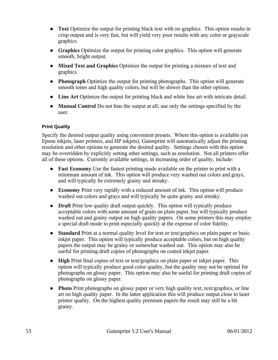- **Text** Optimize the output for printing black text with no graphics. This option results in crisp output and is very fast, but will yield very poor results with any color or grayscale graphics.
- **Graphics** Optimize the output for printing color graphics. This option will generate smooth, bright output.
- **Mixed Text and Graphics** Optimize the output for printing a mixture of text and graphics.
- **Photograph** Optimize the output for printing photographs. This option will generate smooth tones and high quality colors, but will be slower than the other options.
- **Line Art** Optimize the output for printing black and white line art with intricate detail.
- **Manual Control** Do not bias the output at all; use only the settings specified by the user.

### **Print Quality**

Specify the desired output quality using convenient presets. Where this option is available (on Epson inkjets, laser printers, and HP inkjets), Gutenprint will automatically adjust the printing resolution and other options to generate the desired quality. Settings chosen with this option may be overridden by explicitly setting other settings, such as resolution. Not all printers offer all of these options. Currently available settings, in increasing order of quality, include:

- **Fast Economy** Use the fastest printing mode available on the printer to print with a minimum amount of ink. This option will produce very washed out colors and grays, and will typically be extremely grainy and streaky.
- **Economy** Print very rapidly with a reduced amount of ink. This option will produce washed out colors and grays and will typically be quite grainy and streaky.
- **Draft** Print low quality draft output quickly. This option will typically produce acceptable colors with some amount of grain on plain paper, but will typically produce washed out and grainy output on high quality papers. On some printers this may employ a special draft mode to print especially quickly at the expense of color fidelity.
- **Standard** Print at a normal quality level for text or text/graphics on plain paper or basic inkjet paper. This option will typically produce acceptable colors, but on high quality papers the output may be grainy or somewhat washed out. This option may also be useful for printing draft copies of photographs on coated inkjet paper.
- **High** Print final copies of text or text/graphics on plain paper or inkjet paper. This option will typically produce good color quality, but the quality may not be optimal for photographs on glossy paper. This option may also be useful for printing draft copies of photographs on glossy paper.
- **Photo** Print photographs on glossy paper or very high quality text, text/graphics, or line art on high quality paper. In the latter application this will produce output close to laser printer quality. On the highest quality premium papers the result may still be a bit grainy.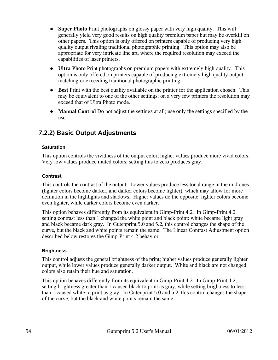- **Super Photo** Print photographs on glossy paper with very high quality. This will generally yield very good results on high quality premium paper but may be overkill on other papers. This option is only offered on printers capable of producing very high quality output rivaling traditional photographic printing. This option may also be appropriate for very intricate line art, where the required resolution may exceed the capabilities of laser printers.
- **Ultra Photo** Print photographs on premium papers with extremely high quality. This option is only offered on printers capable of producing extremely high quality output matching or exceeding traditional photographic printing.
- **Best** Print with the best quality available on the printer for the application chosen. This may be equivalent to one of the other settings; on a very few printers the resolution may exceed that of Ultra Photo mode.
- **Manual Control** Do not adjust the settings at all; use only the settings specified by the user.

## **7.2.2) Basic Output Adjustments**

#### **Saturation**

This option controls the vividness of the output color; higher values produce more vivid colors. Very low values produce muted colors; setting this to zero produces gray.

#### **Contrast**

This controls the contrast of the output. Lower values produce less tonal range in the midtones (lighter colors become darker, and darker colors become lighter), which may allow for more definition in the highlights and shadows. Higher values do the opposite: lighter colors become even lighter, while darker colors become even darker.

This option behaves differently from its equivalent in Gimp-Print 4.2. In Gimp-Print 4.2, setting contrast less than 1 changed the white point and black point: white became light gray and black became dark gray. In Gutenprint 5.0 and 5.2, this control changes the shape of the curve, but the black and white points remain the same. The Linear Contrast Adjustment option described below restores the Gimp-Print 4.2 behavior.

#### **Brightness**

This control adjusts the general brightness of the print; higher values produce generally lighter output, while lower values produce generally darker output. White and black are not changed; colors also retain their hue and saturation.

This option behaves differently from its equivalent in Gimp-Print 4.2. In Gimp-Print 4.2, setting brightness greater than 1 caused black to print as gray, while setting brightness to less than 1 caused white to print as gray. In Gutenprint 5.0 and 5.2, this control changes the shape of the curve, but the black and white points remain the same.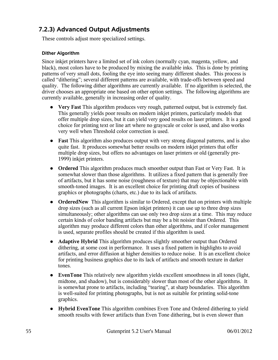## **7.2.3) Advanced Output Adjustments**

These controls adjust more specialized settings.

#### **Dither Algorithm**

Since inkjet printers have a limited set of ink colors (normally cyan, magenta, yellow, and black), most colors have to be produced by mixing the available inks. This is done by printing patterns of very small dots, fooling the eye into seeing many different shades. This process is called "dithering"; several different patterns are available, with trade-offs between speed and quality. The following dither algorithms are currently available. If no algorithm is selected, the driver chooses an appropriate one based on other option settings. The following algorithms are currently available, generally in increasing order of quality.

- **Very Fast** This algorithm produces very rough, patterned output, but is extremely fast. This generally yields poor results on modern inkjet printers, particularly models that offer multiple drop sizes, but it can yield very good results on laser printers. It is a good choice for printing text or line art where no grayscale or color is used, and also works very well when Threshold color correction is used.
- **Fast** This algorithm also produces output with very strong diagonal patterns, and is also quite fast. It produces somewhat better results on modern inkjet printers that offer multiple drop sizes, but offers no advantages on laser printers or old (generally pre-1999) inkjet printers.
- **Ordered** This algorithm produces much smoother output than Fast or Very Fast. It is somewhat slower than those algorithms. It utilizes a fixed pattern that is generally free of artifacts, but it has some noise (roughness of texture) that may be objectionable with smooth-toned images. It is an excellent choice for printing draft copies of business graphics or photographs (charts, etc.) due to its lack of artifacts.
- **OrderedNew** This algorithm is similar to Ordered, except that on printers with multiple drop sizes (such as all current Epson inkjet printers) it can use up to three drop sizes simultaneously; other algorithms can use only two drop sizes at a time. This may reduce certain kinds of color banding artifacts but may be a bit noisier than Ordered. This algorithm may produce different colors than other algorithms, and if color management is used, separate profiles should be created if this algorithm is used.
- **Adaptive Hybrid** This algorithm produces slightly smoother output than Ordered dithering, at some cost in performance. It uses a fixed pattern in highlights to avoid artifacts, and error diffusion at higher densities to reduce noise. It is an excellent choice for printing business graphics due to its lack of artifacts and smooth texture in darker tones.
- **EvenTone** This relatively new algorithm yields excellent smoothness in all tones (light, midtone, and shadow), but is considerably slower than most of the other algorithms. It is somewhat prone to artifacts, including "tearing", at sharp boundaries. This algorithm is well-suited for printing photographs, but is not as suitable for printing solid-tone graphics.
- **Hybrid EvenTone** This algorithm combines Even Tone and Ordered dithering to yield smooth results with fewer artifacts than Even Tone dithering, but is even slower than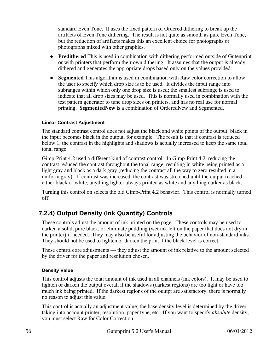standard Even Tone. It uses the fixed pattern of Ordered dithering to break up the artifacts of Even Tone dithering. The result is not quite as smooth as pure Even Tone, but the reduction of artifacts makes this an excellent choice for photographs or photographs mixed with other graphics.

- **Predithered** This is used in combination with dithering performed outside of Gutenprint or with printers that perform their own dithering. It assumes that the output is already dithered and generates the appropriate drops based only on the values provided.
- **Segmented** This algorithm is used in combination with Raw color correction to allow the user to specify which drop size is to be used. It divides the input range into subranges within which only one drop size is used; the smallest subrange is used to indicate that all drop sizes may be used. This is normally used in combination with the test pattern generator to tune drop sizes on printers, and has no real use for normal printing. **SegmentedNew** is a combination of OrderedNew and Segmented.

#### **Linear Contrast Adjustment**

The standard contrast control does not adjust the black and white points of the output; black in the input becomes black in the output, for example. The result is that if contrast is reduced below 1, the contrast in the highlights and shadows is actually increased to keep the same total tonal range.

Gimp-Print 4.2 used a different kind of contrast control. In Gimp-Print 4.2, reducing the contrast reduced the contrast throughout the tonal range, resulting in white being printed as a light gray and black as a dark gray (reducing the contrast all the way to zero resulted in a uniform gray). If contrast was increased, the contrast was stretched until the output reached either black or white; anything lighter always printed as white and anything darker as black.

Turning this control on selects the old Gimp-Print 4.2 behavior. This control is normally turned off.

## **7.2.4) Output Density (Ink Quantity) Controls**

These controls adjust the amount of ink printed on the page. These controls may be used to darken a solid, pure black, or eliminate puddling (wet ink left on the paper that does not dry in the printer) if needed. They may also be useful for adjusting the behavior of non-standard inks. They should not be used to lighten or darken the print if the black level is correct.

These controls are adjustments — they adjust the amount of ink relative to the amount selected by the driver for the paper and resolution chosen.

#### **Density Value**

This control adjusts the total amount of ink used in all channels (ink colors). It may be used to lighten or darken the output overall if the shadows (darkest regions) are too light or have too much ink being printed. If the darkest regions of the ouutpt are satisfactory, there is normally no reason to adjust this value.

This control is actually an adjustment value; the base density level is determined by the driver taking into account printer, resolution, paper type, etc. If you want to specify *absolute* density, you must select Raw for Color Correction.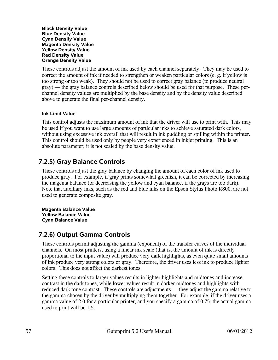**Black Density Value Blue Density Value Cyan Density Value Magenta Density Value Yellow Density Value Red Density Value Orange Density Value**

These controls adjust the amount of ink used by each channel separately. They may be used to correct the amount of ink if needed to strengthen or weaken particular colors (e. g. if yellow is too strong or too weak). They should not be used to correct gray balance (to produce neutral gray) — the gray balance controls described below should be used for that purpose. These perchannel density values are multiplied by the base density and by the density value described above to generate the final per-channel density.

#### **Ink Limit Value**

This control adjusts the maximum amount of ink that the driver will use to print with. This may be used if you want to use large amounts of particular inks to achieve saturated dark colors, without using excessive ink overall that will result in ink puddling or spilling within the printer. This control should be used only by people very experienced in inkjet printing. This is an absolute parameter; it is not scaled by the base density value.

### **7.2.5) Gray Balance Controls**

These controls adjust the gray balance by changing the amount of each color of ink used to produce gray. For example, if gray prints somewhat greenish, it can be corrected by increasing the magenta balance (or decreasing the yellow and cyan balance, if the grays are too dark). Note that auxiliary inks, such as the red and blue inks on the Epson Stylus Photo R800, are not used to generate composite gray.

**Magenta Balance Value Yellow Balance Value Cyan Balance Value**

### **7.2.6) Output Gamma Controls**

These controls permit adjusting the gamma (exponent) of the transfer curves of the individual channels. On most printers, using a linear ink scale (that is, the amount of ink is directly proportional to the input value) will produce very dark highlights, as even quite small amounts of ink produce very strong colors or gray. Therefore, the driver uses less ink to produce lighter colors. This does not affect the darkest tones.

Setting these controls to larger values results in lighter highlights and midtones and increase contrast in the dark tones, while lower values result in darker midtones and highlights with reduced dark tone contrast. These controls are adjustments — they adjust the gamma relative to the gamma chosen by the driver by multiplying them together. For example, if the driver uses a gamma value of 2.0 for a particular printer, and you specify a gamma of 0.75, the actual gamma used to print will be 1.5.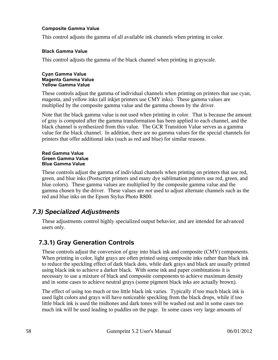#### **Composite Gamma Value**

This control adjusts the gamma of all available ink channels when printing in color.

#### **Black Gamma Value**

This control adjusts the gamma of the black channel when printing in grayscale.

#### **Cyan Gamma Value Magenta Gamma Value Yellow Gamma Value**

These controls adjust the gamma of individual channels when printing on printers that use cyan, magenta, and yellow inks (all inkjet printers use CMY inks). These gamma values are multiplied by the composite gamma value and the gamma chosen by the driver.

Note that the black gamma value is not used when printing in color. That is because the amount of gray is computed after the gamma transformation has been applied to each channel, and the black channel is synthesized from this value. The GCR Transition Value serves as a gamma value for the black channel. In addition, there are no gamma values for the special channels for printers that offer additional inks (such as red and blue) for similar reasons.

#### **Red Gamma Value Green Gamma Value Blue Gamma Value**

These controls adjust the gamma of individual channels when printing on printers that use red, green, and blue inks (Postscript printers and many dye sublimation printers use red, green, and blue colors). These gamma values are multiplied by the composite gamma value and the gamma chosen by the driver. These values are *not* used to adjust alternate channels such as the red and blue inks on the Epson Stylus Photo R800.

### *7.3) Specialized Adjustments*

These adjustments control highly specialized output behavior, and are intended for advanced users only.

### **7.3.1) Gray Generation Controls**

These controls adjust the conversion of gray into black ink and composite (CMY) components. When printing in color, light grays are often printed using composite inks rather than black ink to reduce the speckling effect of dark black dots, while dark grays and black are usually printed using black ink to achieve a darker black. With some ink and paper combinations it is necessary to use a mixture of black and composite components to achieve maximum density and in some cases to achieve neutral grays (some pigment black inks are actually brown).

The effect of using too much or too little black ink varies. Typically if too much black ink is used light colors and grays will have noticeable speckling from the black drops, while if too little black ink is used the midtones and dark tones will be washed out and in some cases too much ink will be used leading to puddles on the page. In some cases very large amounts of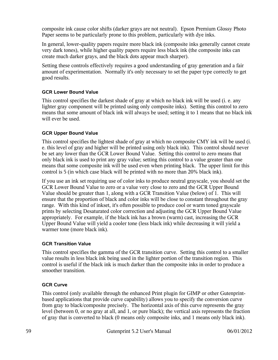composite ink cause color shifts (darker grays are not neutral). Epson Premium Glossy Photo Paper seems to be particularly prone to this problem, particularly with dye inks.

In general, lower-quality papers require more black ink (composite inks generally cannot create very dark tones), while higher quality papers require less black ink (the composite inks can create much darker grays, and the black dots appear much sharper).

Setting these controls effectively requires a good understanding of gray generation and a fair amount of experimentation. Normally it's only necessary to set the paper type correctly to get good results.

#### **GCR Lower Bound Value**

This control specifies the darkest shade of gray at which no black ink will be used (i. e. any lighter gray component will be printed using only composite inks). Setting this control to zero means that some amount of black ink will always be used; setting it to 1 means that no black ink will ever be used.

#### **GCR Upper Bound Value**

This control specifies the lightest shade of gray at which no composite CMY ink will be used (i. e. this level of gray and higher will be printed using only black ink). This control should never be set any lower than the GCR Lower Bound Value. Setting this control to zero means that only black ink is used to print any gray value; setting this control to a value greater than one means that some composite ink will be used even when printing black. The upper limit for this control is 5 (in which case black will be printed with no more than 20% black ink).

If you use an ink set requiring use of color inks to produce neutral grayscale, you should set the GCR Lower Bound Value to zero or a value very close to zero and the GCR Upper Bound Value should be greater than 1, along with a GCR Transition Value (below) of 1. This will ensure that the proportion of black and color inks will be close to constant throughout the gray range. With this kind of inkset, it's often possible to produce cool or warm toned grayscale prints by selecting Desaturated color correction and adjusting the GCR Upper Bound Value appropriately. For example, if the black ink has a brown (warm) cast, increasing the GCR Upper Bound Value will yield a cooler tone (less black ink) while decreasing it will yield a warmer tone (more black ink).

#### **GCR Transition Value**

This control specifies the gamma of the GCR transition curve. Setting this control to a smaller value results in less black ink being used in the lighter portion of the transition region. This control is useful if the black ink is much darker than the composite inks in order to produce a smoother transition.

### **GCR Curve**

This control (only available through the enhanced Print plugin for GIMP or other Gutenprintbased applications that provide curve capability) allows you to specify the conversion curve from gray to black/composite precisely. The horizontal axis of this curve represents the gray level (between 0, or no gray at all, and 1, or pure black); the vertical axis represents the fraction of gray that is converted to black (0 means only composite inks, and 1 means only black ink).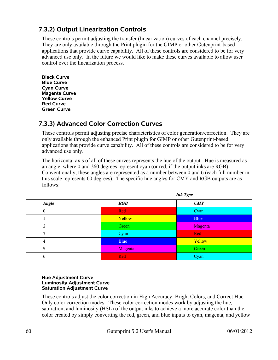## **7.3.2) Output Linearization Controls**

These controls permit adjusting the transfer (linearization) curves of each channel precisely. They are only available through the Print plugin for the GIMP or other Gutenprint-based applications that provide curve capability. All of these controls are considered to be for very advanced use only. In the future we would like to make these curves available to allow user control over the linearization process.

**Black Curve Blue Curve Cyan Curve Magenta Curve Yellow Curve Red Curve Green Curve**

## **7.3.3) Advanced Color Correction Curves**

These controls permit adjusting precise characteristics of color generation/correction. They are only available through the enhanced Print plugin for GIMP or other Gutenprint-based applications that provide curve capability. All of these controls are considered to be for very advanced use only.

The horizontal axis of all of these curves represents the hue of the output. Hue is measured as an angle, where 0 and 360 degrees represent cyan (or red, if the output inks are RGB). Conventionally, these angles are represented as a number between 0 and 6 (each full number in this scale represents 60 degrees). The specific hue angles for CMY and RGB outputs are as follows:

|                | <b>Ink Type</b> |            |
|----------------|-----------------|------------|
| Angle          | RGB             | CMY        |
| $\overline{0}$ | <b>Red</b>      | Cyan       |
|                | Yellow          | Blue       |
| $\overline{2}$ | Green           | Magenta    |
| 3              | Cyan            | <b>Red</b> |
| 4              | <b>Blue</b>     | Yellow     |
| 5              | Magenta         | Green      |
| 6              | Red             | Cyan       |

#### **Hue Adjustment Curve Luminosity Adjustment Curve Saturation Adjustment Curve**

These controls adjust the color correction in High Accuracy, Bright Colors, and Correct Hue Only color correction modes. These color correction modes work by adjusting the hue, saturation, and luminosity (HSL) of the output inks to achieve a more accurate color than the color created by simply converting the red, green, and blue inputs to cyan, magenta, and yellow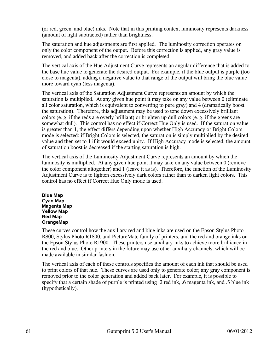(or red, green, and blue) inks. Note that in this printing context luminosity represents darkness (amount of light subtracted) rather than brightness.

The saturation and hue adjustments are first applied. The luminosity correction operates on only the color component of the output. Before this correction is applied, any gray value is removed, and added back after the correction is completed.

The vertical axis of the Hue Adjustment Curve represents an angular difference that is added to the base hue value to generate the desired output. For example, if the blue output is purple (too close to magenta), adding a negative value to that range of the output will bring the blue value more toward cyan (less magenta).

The vertical axis of the Saturation Adjustment Curve represents an amount by which the saturation is multiplied. At any given hue point it may take on any value between 0 (eliminate all color saturation, which is equivalent to converting to pure gray) and 4 (dramatically boost the saturation). Therefore, this adjustment may be used to tone down excessively brilliant colors (e. g. if the reds are overly brilliant) or brighten up dull colors (e. g. if the greens are somewhat dull). This control has no effect if Correct Hue Only is used. If the saturation value is greater than 1, the effect differs depending upon whether High Accuracy or Bright Colors mode is selected: if Bright Colors is selected, the saturation is simply multiplied by the desired value and then set to 1 if it would exceed unity. If High Accuracy mode is selected, the amount of saturation boost is decreased if the starting saturation is high.

The vertical axis of the Luminosity Adjustment Curve represents an amount by which the luminosity is multiplied. At any given hue point it may take on any value between 0 (remove the color component altogether) and 1 (leave it as is). Therefore, the function of the Luminosity Adjustment Curve is to lighten excessively dark colors rather than to darken light colors. This control has no effect if Correct Hue Only mode is used.

**Blue Map Cyan Map Magenta Map Yellow Map Red Map OrangeMap**

These curves control how the auxiliary red and blue inks are used on the Epson Stylus Photo R800, Stylus Photo R1800, and PictureMate family of printers, and the red and orange inks on the Epson Stylus Photo R1900. These printers use auxiliary inks to achieve more brilliance in the red and blue. Other printers in the future may use other auxiliary channels, which will be made available in similar fashion.

The vertical axis of each of these controls specifies the amount of each ink that should be used to print colors of that hue. These curves are used only to generate color; any gray component is removed prior to the color generation and added back later. For example, it is possible to specify that a certain shade of purple is printed using .2 red ink, .6 magenta ink, and .5 blue ink (hypothetically).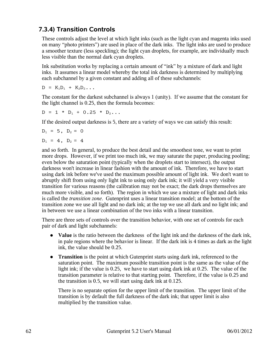## **7.3.4) Transition Controls**

These controls adjust the level at which light inks (such as the light cyan and magenta inks used on many "photo printers") are used in place of the dark inks. The light inks are used to produce a smoother texture (less speckling); the light cyan droplets, for example, are individually much less visible than the normal dark cyan droplets.

Ink substitution works by replacing a certain amount of "ink" by a mixture of dark and light inks. It assumes a linear model whereby the total ink darkness is determined by multiplying each subchannel by a given constant and adding all of these subchannels:

 $D = K_1D_1 + K_2D_2...$ 

The constant for the darkest subchannel is always 1 (unity). If we assume that the constant for the light channel is 0.25, then the formula becomes:

$$
D = 1 * D_1 + 0.25 * D_2 \ldots
$$

If the desired output darkness is 5, there are a variety of ways we can satisfy this result:

$$
D_1 = 5
$$
,  $D_2 = 0$ 

$$
D_1 = 4
$$
,  $D_2 = 4$ 

and so forth. In general, to produce the best detail and the smoothest tone, we want to print more drops. However, if we print too much ink, we may saturate the paper, producing pooling; even below the saturation point (typically when the droplets start to intersect), the output darkness won't increase in linear fashion with the amount of ink. Therefore, we have to start using dark ink before we've used the maximum possible amount of light ink. We don't want to abruptly shift from using only light ink to using only dark ink; it will yield a very visible transition for various reasons (the calibration may not be exact; the dark drops themselves are much more visible, and so forth). The region in which we use a mixture of light and dark inks is called the *transition zone*. Gutenprint uses a linear transition model; at the bottom of the transition zone we use all light and no dark ink; at the top we use all dark and no light ink; and in between we use a linear combination of the two inks with a linear transition.

There are three sets of controls over the transition behavior, with one set of controls for each pair of dark and light subchannels:

- **Value** is the ratio between the darkness of the light ink and the darkness of the dark ink, in pale regions where the behavior is linear. If the dark ink is 4 times as dark as the light ink, the value should be 0.25.
- **Transition** is the point at which Gutenprint starts using dark ink, referenced to the saturation point. The maximum possible transition point is the same as the value of the light ink; if the value is 0.25, we have to start using dark ink at 0.25. The value of the transition parameter is relative to that starting point. Therefore, if the value is 0.25 and the transition is 0.5, we will start using dark ink at 0.125.

There is no separate option for the upper limit of the transition. The upper limit of the transition is by default the full darkness of the dark ink; that upper limit is also multiplied by the transition value.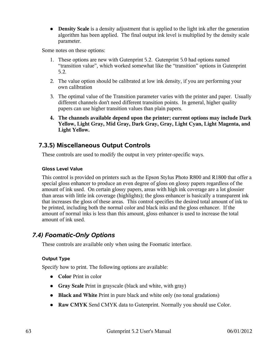**• Density Scale** is a density adjustment that is applied to the light ink after the generation algorithm has been applied. The final output ink level is multiplied by the density scale parameter.

Some notes on these options:

- 1. These options are new with Gutenprint 5.2. Gutenprint 5.0 had options named "transition value", which worked somewhat like the "transition" options in Gutenprint 5.2.
- 2. The value option should be calibrated at low ink density, if you are performing your own calibration
- 3. The optimal value of the Transition parameter varies with the printer and paper. Usually different channels don't need different transition points. In general, higher quality papers can use higher transition values than plain papers.
- **4. The channels available depend upon the printer; current options may include Dark Yellow, Light Gray, Mid Gray, Dark Gray, Gray, Light Cyan, Light Magenta, and Light Yellow.**

### **7.3.5) Miscellaneous Output Controls**

These controls are used to modify the output in very printer-specific ways.

### **Gloss Level Value**

This control is provided on printers such as the Epson Stylus Photo R800 and R1800 that offer a special gloss enhancer to produce an even degree of gloss on glossy papers regardless of the amount of ink used. On certain glossy papers, areas with high ink coverage are a lot glossier than areas with little ink coverage (highlights); the gloss enhancer is basically a transparent ink that increases the gloss of these areas. This control specifies the desired total amount of ink to be printed, including both the normal color and black inks and the gloss enhancer. If the amount of normal inks is less than this amount, gloss enhancer is used to increase the total amount of ink used.

### *7.4) Foomatic-Only Options*

These controls are available only when using the Foomatic interface.

### **Output Type**

Specify how to print. The following options are available:

- **Color** Print in color
- **Gray Scale** Print in grayscale (black and white, with gray)
- **Black and White** Print in pure black and white only (no tonal gradations)
- **Raw CMYK** Send CMYK data to Gutenprint. Normally you should use Color.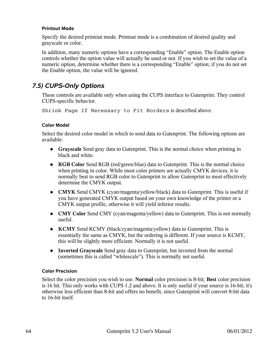#### **Printout Mode**

Specify the desired printout mode. Printout mode is a combination of desired quality and grayscale or color.

In addition, many numeric options have a corresponding "Enable" option. The Enable option controls whether the option value will actually be used or not. If you wish to set the value of a numeric option, determine whether there is a corresponding "Enable" option; if you do not set the Enable option, the value will be ignored.

### *7.5) CUPS-Only Options*

These controls are available only when using the CUPS interface to Gutenprint. They control CUPS-specific behavior.

Shrink Page If Necessary to Fit Borders is described above.

#### **Color Model**

Select the desired color model in which to send data to Gutenprint. The following options are available:

- **Grayscale** Send gray data to Gutenprint. This is the normal choice when printing in black and white.
- **RGB Color** Send RGB (red/green/blue) data to Gutenprint. This is the normal choice when printing in color. While most color printers are actually CMYK devices, it is normally best to send RGB color to Gutenprint to allow Gutenprint to most effectively determine the CMYK output.
- **CMYK** Send CMYK (cyan/magenta/yellow/black) data to Gutenprint. This is useful if you have generated CMYK output based on your own knowledge of the printer or a CMYK output profile, otherwise it will yield inferior results.
- **CMY Color** Send CMY (cyan/magenta/yellow) data to Gutenprint. This is not normally useful.
- **KCMY** Send KCMY (black/cyan/magenta/yellow) data to Gutenprint. This is essentially the same as CMYK, but the ordering is different. If your source is KCMY, this will be slightly more efficient. Normally it is not useful.
- **Inverted Grayscale** Send gray data to Gutenprint, but inverted from the normal (sometimes this is called "whitescale"). This is normally not useful.

### **Color Precision**

Select the color precision you wish to use. **Normal** color precision is 8-bit; **Best** color precision is 16 bit. This only works with CUPS 1.2 and above. It is only useful if your source is 16-bit; it's otherwise less efficient than 8-bit and offers no benefit, since Gutenprint will convert 8-bit data to 16-bit itself.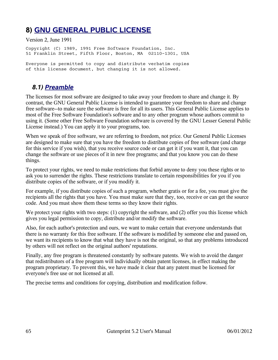# **8) [GNU GENERAL PUBLIC LICENSE](http://www.gnu.org/licenses/fdl.html#TOC1)**

Version 2, June 1991

Copyright (C) 1989, 1991 Free Software Foundation, Inc. 51 Franklin Street, Fifth Floor, Boston, MA 02110-1301, USA

Everyone is permitted to copy and distribute verbatim copies of this license document, but changing it is not allowed.

### *8.1) [Preamble](http://www.gnu.org/licenses/gpl.html#TOC2)*

The licenses for most software are designed to take away your freedom to share and change it. By contrast, the GNU General Public License is intended to guarantee your freedom to share and change free software--to make sure the software is free for all its users. This General Public License applies to most of the Free Software Foundation's software and to any other program whose authors commit to using it. (Some other Free Software Foundation software is covered by the GNU Lesser General Public License instead.) You can apply it to your programs, too.

When we speak of free software, we are referring to freedom, not price. Our General Public Licenses are designed to make sure that you have the freedom to distribute copies of free software (and charge for this service if you wish), that you receive source code or can get it if you want it, that you can change the software or use pieces of it in new free programs; and that you know you can do these things.

To protect your rights, we need to make restrictions that forbid anyone to deny you these rights or to ask you to surrender the rights. These restrictions translate to certain responsibilities for you if you distribute copies of the software, or if you modify it.

For example, if you distribute copies of such a program, whether gratis or for a fee, you must give the recipients all the rights that you have. You must make sure that they, too, receive or can get the source code. And you must show them these terms so they know their rights.

We protect your rights with two steps: (1) copyright the software, and (2) offer you this license which gives you legal permission to copy, distribute and/or modify the software.

Also, for each author's protection and ours, we want to make certain that everyone understands that there is no warranty for this free software. If the software is modified by someone else and passed on, we want its recipients to know that what they have is not the original, so that any problems introduced by others will not reflect on the original authors' reputations.

Finally, any free program is threatened constantly by software patents. We wish to avoid the danger that redistributors of a free program will individually obtain patent licenses, in effect making the program proprietary. To prevent this, we have made it clear that any patent must be licensed for everyone's free use or not licensed at all.

The precise terms and conditions for copying, distribution and modification follow.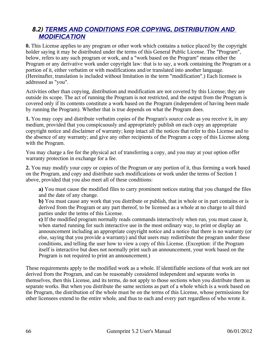### *8.2) [TERMS AND CONDITIONS FOR COPYING, DISTRIBUTION AND](http://www.gnu.org/licenses/gpl.html#TOC3)  [MODIFICATION](http://www.gnu.org/licenses/gpl.html#TOC3)*

**0.** This License applies to any program or other work which contains a notice placed by the copyright holder saying it may be distributed under the terms of this General Public License. The "Program", below, refers to any such program or work, and a "work based on the Program" means either the Program or any derivative work under copyright law: that is to say, a work containing the Program or a portion of it, either verbatim or with modifications and/or translated into another language. (Hereinafter, translation is included without limitation in the term "modification".) Each licensee is addressed as "you".

Activities other than copying, distribution and modification are not covered by this License; they are outside its scope. The act of running the Program is not restricted, and the output from the Program is covered only if its contents constitute a work based on the Program (independent of having been made by running the Program). Whether that is true depends on what the Program does.

**1.** You may copy and distribute verbatim copies of the Program's source code as you receive it, in any medium, provided that you conspicuously and appropriately publish on each copy an appropriate copyright notice and disclaimer of warranty; keep intact all the notices that refer to this License and to the absence of any warranty; and give any other recipients of the Program a copy of this License along with the Program.

You may charge a fee for the physical act of transferring a copy, and you may at your option offer warranty protection in exchange for a fee.

**2.** You may modify your copy or copies of the Program or any portion of it, thus forming a work based on the Program, and copy and distribute such modifications or work under the terms of Section 1 above, provided that you also meet all of these conditions:

**a)** You must cause the modified files to carry prominent notices stating that you changed the files and the date of any change.

**b)** You must cause any work that you distribute or publish, that in whole or in part contains or is derived from the Program or any part thereof, to be licensed as a whole at no charge to all third parties under the terms of this License.

**c)** If the modified program normally reads commands interactively when run, you must cause it, when started running for such interactive use in the most ordinary way, to print or display an announcement including an appropriate copyright notice and a notice that there is no warranty (or else, saying that you provide a warranty) and that users may redistribute the program under these conditions, and telling the user how to view a copy of this License. (Exception: if the Program itself is interactive but does not normally print such an announcement, your work based on the Program is not required to print an announcement.)

These requirements apply to the modified work as a whole. If identifiable sections of that work are not derived from the Program, and can be reasonably considered independent and separate works in themselves, then this License, and its terms, do not apply to those sections when you distribute them as separate works. But when you distribute the same sections as part of a whole which is a work based on the Program, the distribution of the whole must be on the terms of this License, whose permissions for other licensees extend to the entire whole, and thus to each and every part regardless of who wrote it.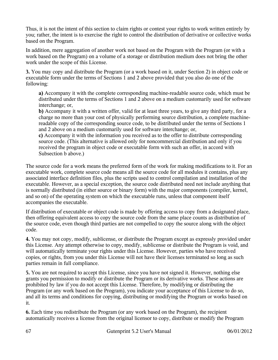Thus, it is not the intent of this section to claim rights or contest your rights to work written entirely by you; rather, the intent is to exercise the right to control the distribution of derivative or collective works based on the Program.

In addition, mere aggregation of another work not based on the Program with the Program (or with a work based on the Program) on a volume of a storage or distribution medium does not bring the other work under the scope of this License.

**3.** You may copy and distribute the Program (or a work based on it, under Section 2) in object code or executable form under the terms of Sections 1 and 2 above provided that you also do one of the following:

**a)** Accompany it with the complete corresponding machine-readable source code, which must be distributed under the terms of Sections 1 and 2 above on a medium customarily used for software interchange; or,

**b)** Accompany it with a written offer, valid for at least three years, to give any third party, for a charge no more than your cost of physically performing source distribution, a complete machinereadable copy of the corresponding source code, to be distributed under the terms of Sections 1 and 2 above on a medium customarily used for software interchange; or,

**c)** Accompany it with the information you received as to the offer to distribute corresponding source code. (This alternative is allowed only for noncommercial distribution and only if you received the program in object code or executable form with such an offer, in accord with Subsection b above.)

The source code for a work means the preferred form of the work for making modifications to it. For an executable work, complete source code means all the source code for all modules it contains, plus any associated interface definition files, plus the scripts used to control compilation and installation of the executable. However, as a special exception, the source code distributed need not include anything that is normally distributed (in either source or binary form) with the major components (compiler, kernel, and so on) of the operating system on which the executable runs, unless that component itself accompanies the executable.

If distribution of executable or object code is made by offering access to copy from a designated place, then offering equivalent access to copy the source code from the same place counts as distribution of the source code, even though third parties are not compelled to copy the source along with the object code.

**4.** You may not copy, modify, sublicense, or distribute the Program except as expressly provided under this License. Any attempt otherwise to copy, modify, sublicense or distribute the Program is void, and will automatically terminate your rights under this License. However, parties who have received copies, or rights, from you under this License will not have their licenses terminated so long as such parties remain in full compliance.

**5.** You are not required to accept this License, since you have not signed it. However, nothing else grants you permission to modify or distribute the Program or its derivative works. These actions are prohibited by law if you do not accept this License. Therefore, by modifying or distributing the Program (or any work based on the Program), you indicate your acceptance of this License to do so, and all its terms and conditions for copying, distributing or modifying the Program or works based on it.

**6.** Each time you redistribute the Program (or any work based on the Program), the recipient automatically receives a license from the original licensor to copy, distribute or modify the Program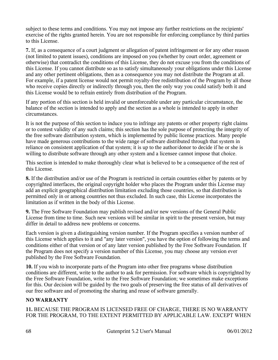subject to these terms and conditions. You may not impose any further restrictions on the recipients' exercise of the rights granted herein. You are not responsible for enforcing compliance by third parties to this License.

**7.** If, as a consequence of a court judgment or allegation of patent infringement or for any other reason (not limited to patent issues), conditions are imposed on you (whether by court order, agreement or otherwise) that contradict the conditions of this License, they do not excuse you from the conditions of this License. If you cannot distribute so as to satisfy simultaneously your obligations under this License and any other pertinent obligations, then as a consequence you may not distribute the Program at all. For example, if a patent license would not permit royalty-free redistribution of the Program by all those who receive copies directly or indirectly through you, then the only way you could satisfy both it and this License would be to refrain entirely from distribution of the Program.

If any portion of this section is held invalid or unenforceable under any particular circumstance, the balance of the section is intended to apply and the section as a whole is intended to apply in other circumstances.

It is not the purpose of this section to induce you to infringe any patents or other property right claims or to contest validity of any such claims; this section has the sole purpose of protecting the integrity of the free software distribution system, which is implemented by public license practices. Many people have made generous contributions to the wide range of software distributed through that system in reliance on consistent application of that system; it is up to the author/donor to decide if he or she is willing to distribute software through any other system and a licensee cannot impose that choice.

This section is intended to make thoroughly clear what is believed to be a consequence of the rest of this License.

**8.** If the distribution and/or use of the Program is restricted in certain countries either by patents or by copyrighted interfaces, the original copyright holder who places the Program under this License may add an explicit geographical distribution limitation excluding those countries, so that distribution is permitted only in or among countries not thus excluded. In such case, this License incorporates the limitation as if written in the body of this License.

**9.** The Free Software Foundation may publish revised and/or new versions of the General Public License from time to time. Such new versions will be similar in spirit to the present version, but may differ in detail to address new problems or concerns.

Each version is given a distinguishing version number. If the Program specifies a version number of this License which applies to it and "any later version", you have the option of following the terms and conditions either of that version or of any later version published by the Free Software Foundation. If the Program does not specify a version number of this License, you may choose any version ever published by the Free Software Foundation.

**10.** If you wish to incorporate parts of the Program into other free programs whose distribution conditions are different, write to the author to ask for permission. For software which is copyrighted by the Free Software Foundation, write to the Free Software Foundation; we sometimes make exceptions for this. Our decision will be guided by the two goals of preserving the free status of all derivatives of our free software and of promoting the sharing and reuse of software generally.

### **NO WARRANTY**

**11.** BECAUSE THE PROGRAM IS LICENSED FREE OF CHARGE, THERE IS NO WARRANTY FOR THE PROGRAM, TO THE EXTENT PERMITTED BY APPLICABLE LAW. EXCEPT WHEN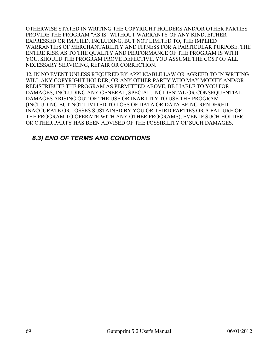OTHERWISE STATED IN WRITING THE COPYRIGHT HOLDERS AND/OR OTHER PARTIES PROVIDE THE PROGRAM "AS IS" WITHOUT WARRANTY OF ANY KIND, EITHER EXPRESSED OR IMPLIED, INCLUDING, BUT NOT LIMITED TO, THE IMPLIED WARRANTIES OF MERCHANTABILITY AND FITNESS FOR A PARTICULAR PURPOSE. THE ENTIRE RISK AS TO THE QUALITY AND PERFORMANCE OF THE PROGRAM IS WITH YOU. SHOULD THE PROGRAM PROVE DEFECTIVE, YOU ASSUME THE COST OF ALL NECESSARY SERVICING, REPAIR OR CORRECTION.

**12.** IN NO EVENT UNLESS REQUIRED BY APPLICABLE LAW OR AGREED TO IN WRITING WILL ANY COPYRIGHT HOLDER, OR ANY OTHER PARTY WHO MAY MODIFY AND/OR REDISTRIBUTE THE PROGRAM AS PERMITTED ABOVE, BE LIABLE TO YOU FOR DAMAGES, INCLUDING ANY GENERAL, SPECIAL, INCIDENTAL OR CONSEQUENTIAL DAMAGES ARISING OUT OF THE USE OR INABILITY TO USE THE PROGRAM (INCLUDING BUT NOT LIMITED TO LOSS OF DATA OR DATA BEING RENDERED INACCURATE OR LOSSES SUSTAINED BY YOU OR THIRD PARTIES OR A FAILURE OF THE PROGRAM TO OPERATE WITH ANY OTHER PROGRAMS), EVEN IF SUCH HOLDER OR OTHER PARTY HAS BEEN ADVISED OF THE POSSIBILITY OF SUCH DAMAGES.

### *8.3) END OF TERMS AND CONDITIONS*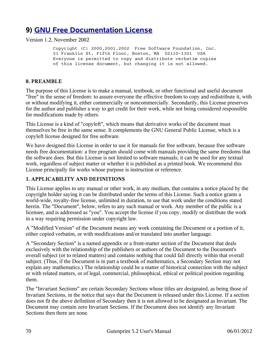# **9) [GNU Free Documentation License](http://www.gnu.org/licenses/fdl.html#TOC1)**

Version 1.2, November 2002

 Copyright (C) 2000,2001,2002 Free Software Foundation, Inc. 51 Franklin St, Fifth Floor, Boston, MA 02110-1301 USA Everyone is permitted to copy and distribute verbatim copies of this license document, but changing it is not allowed.

#### **0. PREAMBLE**

The purpose of this License is to make a manual, textbook, or other functional and useful document "free" in the sense of freedom: to assure everyone the effective freedom to copy and redistribute it, with or without modifying it, either commercially or noncommercially. Secondarily, this License preserves for the author and publisher a way to get credit for their work, while not being considered responsible for modifications made by others.

This License is a kind of "copyleft", which means that derivative works of the document must themselves be free in the same sense. It complements the GNU General Public License, which is a copyleft license designed for free software.

We have designed this License in order to use it for manuals for free software, because free software needs free documentation: a free program should come with manuals providing the same freedoms that the software does. But this License is not limited to software manuals; it can be used for any textual work, regardless of subject matter or whether it is published as a printed book. We recommend this License principally for works whose purpose is instruction or reference.

#### **1. APPLICABILITY AND DEFINITIONS**

This License applies to any manual or other work, in any medium, that contains a notice placed by the copyright holder saying it can be distributed under the terms of this License. Such a notice grants a world-wide, royalty-free license, unlimited in duration, to use that work under the conditions stated herein. The "Document", below, refers to any such manual or work. Any member of the public is a licensee, and is addressed as "you". You accept the license if you copy, modify or distribute the work in a way requiring permission under copyright law.

A "Modified Version" of the Document means any work containing the Document or a portion of it, either copied verbatim, or with modifications and/or translated into another language.

A "Secondary Section" is a named appendix or a front-matter section of the Document that deals exclusively with the relationship of the publishers or authors of the Document to the Document's overall subject (or to related matters) and contains nothing that could fall directly within that overall subject. (Thus, if the Document is in part a textbook of mathematics, a Secondary Section may not explain any mathematics.) The relationship could be a matter of historical connection with the subject or with related matters, or of legal, commercial, philosophical, ethical or political position regarding them.

The "Invariant Sections" are certain Secondary Sections whose titles are designated, as being those of Invariant Sections, in the notice that says that the Document is released under this License. If a section does not fit the above definition of Secondary then it is not allowed to be designated as Invariant. The Document may contain zero Invariant Sections. If the Document does not identify any Invariant Sections then there are none.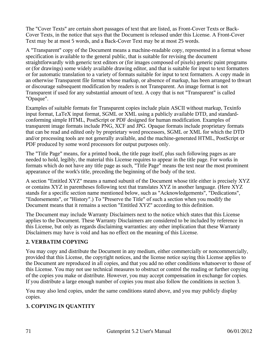The "Cover Texts" are certain short passages of text that are listed, as Front-Cover Texts or Back-Cover Texts, in the notice that says that the Document is released under this License. A Front-Cover Text may be at most 5 words, and a Back-Cover Text may be at most 25 words.

A "Transparent" copy of the Document means a machine-readable copy, represented in a format whose specification is available to the general public, that is suitable for revising the document straightforwardly with generic text editors or (for images composed of pixels) generic paint programs or (for drawings) some widely available drawing editor, and that is suitable for input to text formatters or for automatic translation to a variety of formats suitable for input to text formatters. A copy made in an otherwise Transparent file format whose markup, or absence of markup, has been arranged to thwart or discourage subsequent modification by readers is not Transparent. An image format is not Transparent if used for any substantial amount of text. A copy that is not "Transparent" is called "Opaque".

Examples of suitable formats for Transparent copies include plain ASCII without markup, Texinfo input format, LaTeX input format, SGML or XML using a publicly available DTD, and standardconforming simple HTML, PostScript or PDF designed for human modification. Examples of transparent image formats include PNG, XCF and JPG. Opaque formats include proprietary formats that can be read and edited only by proprietary word processors, SGML or XML for which the DTD and/or processing tools are not generally available, and the machine-generated HTML, PostScript or PDF produced by some word processors for output purposes only.

The "Title Page" means, for a printed book, the title page itself, plus such following pages as are needed to hold, legibly, the material this License requires to appear in the title page. For works in formats which do not have any title page as such, "Title Page" means the text near the most prominent appearance of the work's title, preceding the beginning of the body of the text.

A section "Entitled XYZ" means a named subunit of the Document whose title either is precisely XYZ or contains XYZ in parentheses following text that translates XYZ in another language. (Here XYZ stands for a specific section name mentioned below, such as "Acknowledgements", "Dedications", "Endorsements", or "History".) To "Preserve the Title" of such a section when you modify the Document means that it remains a section "Entitled XYZ" according to this definition.

The Document may include Warranty Disclaimers next to the notice which states that this License applies to the Document. These Warranty Disclaimers are considered to be included by reference in this License, but only as regards disclaiming warranties: any other implication that these Warranty Disclaimers may have is void and has no effect on the meaning of this License.

### **2. VERBATIM COPYING**

You may copy and distribute the Document in any medium, either commercially or noncommercially, provided that this License, the copyright notices, and the license notice saying this License applies to the Document are reproduced in all copies, and that you add no other conditions whatsoever to those of this License. You may not use technical measures to obstruct or control the reading or further copying of the copies you make or distribute. However, you may accept compensation in exchange for copies. If you distribute a large enough number of copies you must also follow the conditions in section 3.

You may also lend copies, under the same conditions stated above, and you may publicly display copies.

### **3. COPYING IN QUANTITY**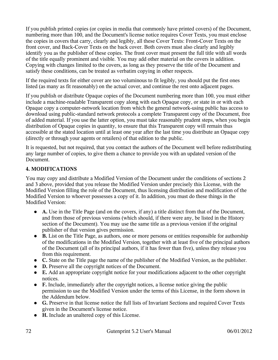If you publish printed copies (or copies in media that commonly have printed covers) of the Document, numbering more than 100, and the Document's license notice requires Cover Texts, you must enclose the copies in covers that carry, clearly and legibly, all these Cover Texts: Front-Cover Texts on the front cover, and Back-Cover Texts on the back cover. Both covers must also clearly and legibly identify you as the publisher of these copies. The front cover must present the full title with all words of the title equally prominent and visible. You may add other material on the covers in addition. Copying with changes limited to the covers, as long as they preserve the title of the Document and satisfy these conditions, can be treated as verbatim copying in other respects.

If the required texts for either cover are too voluminous to fit legibly, you should put the first ones listed (as many as fit reasonably) on the actual cover, and continue the rest onto adjacent pages.

If you publish or distribute Opaque copies of the Document numbering more than 100, you must either include a machine-readable Transparent copy along with each Opaque copy, or state in or with each Opaque copy a computer-network location from which the general network-using public has access to download using public-standard network protocols a complete Transparent copy of the Document, free of added material. If you use the latter option, you must take reasonably prudent steps, when you begin distribution of Opaque copies in quantity, to ensure that this Transparent copy will remain thus accessible at the stated location until at least one year after the last time you distribute an Opaque copy (directly or through your agents or retailers) of that edition to the public.

It is requested, but not required, that you contact the authors of the Document well before redistributing any large number of copies, to give them a chance to provide you with an updated version of the Document.

### **4. MODIFICATIONS**

You may copy and distribute a Modified Version of the Document under the conditions of sections 2 and 3 above, provided that you release the Modified Version under precisely this License, with the Modified Version filling the role of the Document, thus licensing distribution and modification of the Modified Version to whoever possesses a copy of it. In addition, you must do these things in the Modified Version:

- **A.** Use in the Title Page (and on the covers, if any) a title distinct from that of the Document, and from those of previous versions (which should, if there were any, be listed in the History section of the Document). You may use the same title as a previous version if the original publisher of that version gives permission.
- **B.** List on the Title Page, as authors, one or more persons or entities responsible for authorship of the modifications in the Modified Version, together with at least five of the principal authors of the Document (all of its principal authors, if it has fewer than five), unless they release you from this requirement.
- **C.** State on the Title page the name of the publisher of the Modified Version, as the publisher.
- **D.** Preserve all the copyright notices of the Document.
- **E.** Add an appropriate copyright notice for your modifications adjacent to the other copyright notices.
- **F.** Include, immediately after the copyright notices, a license notice giving the public permission to use the Modified Version under the terms of this License, in the form shown in the Addendum below.
- **G.** Preserve in that license notice the full lists of Invariant Sections and required Cover Texts given in the Document's license notice.
- **H.** Include an unaltered copy of this License.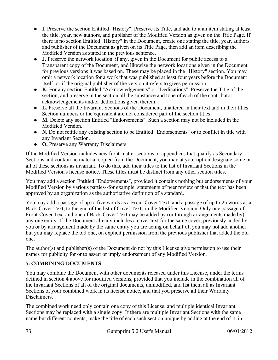- **I.** Preserve the section Entitled "History", Preserve its Title, and add to it an item stating at least the title, year, new authors, and publisher of the Modified Version as given on the Title Page. If there is no section Entitled "History" in the Document, create one stating the title, year, authors, and publisher of the Document as given on its Title Page, then add an item describing the Modified Version as stated in the previous sentence.
- **J.** Preserve the network location, if any, given in the Document for public access to a Transparent copy of the Document, and likewise the network locations given in the Document for previous versions it was based on. These may be placed in the "History" section. You may omit a network location for a work that was published at least four years before the Document itself, or if the original publisher of the version it refers to gives permission.
- **K.** For any section Entitled "Acknowledgements" or "Dedications", Preserve the Title of the section, and preserve in the section all the substance and tone of each of the contributor acknowledgements and/or dedications given therein.
- **L.** Preserve all the Invariant Sections of the Document, unaltered in their text and in their titles. Section numbers or the equivalent are not considered part of the section titles.
- **M.** Delete any section Entitled "Endorsements". Such a section may not be included in the Modified Version.
- **N.** Do not retitle any existing section to be Entitled "Endorsements" or to conflict in title with any Invariant Section.
- **O.** Preserve any Warranty Disclaimers.

If the Modified Version includes new front-matter sections or appendices that qualify as Secondary Sections and contain no material copied from the Document, you may at your option designate some or all of these sections as invariant. To do this, add their titles to the list of Invariant Sections in the Modified Version's license notice. These titles must be distinct from any other section titles.

You may add a section Entitled "Endorsements", provided it contains nothing but endorsements of your Modified Version by various parties--for example, statements of peer review or that the text has been approved by an organization as the authoritative definition of a standard.

You may add a passage of up to five words as a Front-Cover Text, and a passage of up to 25 words as a Back-Cover Text, to the end of the list of Cover Texts in the Modified Version. Only one passage of Front-Cover Text and one of Back-Cover Text may be added by (or through arrangements made by) any one entity. If the Document already includes a cover text for the same cover, previously added by you or by arrangement made by the same entity you are acting on behalf of, you may not add another; but you may replace the old one, on explicit permission from the previous publisher that added the old one.

The author(s) and publisher(s) of the Document do not by this License give permission to use their names for publicity for or to assert or imply endorsement of any Modified Version.

### **5. COMBINING DOCUMENTS**

You may combine the Document with other documents released under this License, under the terms defined in section 4 above for modified versions, provided that you include in the combination all of the Invariant Sections of all of the original documents, unmodified, and list them all as Invariant Sections of your combined work in its license notice, and that you preserve all their Warranty Disclaimers.

The combined work need only contain one copy of this License, and multiple identical Invariant Sections may be replaced with a single copy. If there are multiple Invariant Sections with the same name but different contents, make the title of each such section unique by adding at the end of it, in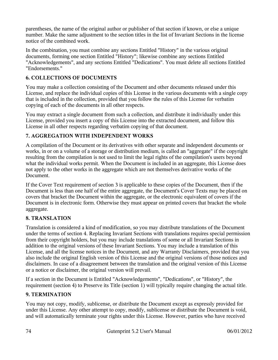parentheses, the name of the original author or publisher of that section if known, or else a unique number. Make the same adjustment to the section titles in the list of Invariant Sections in the license notice of the combined work.

In the combination, you must combine any sections Entitled "History" in the various original documents, forming one section Entitled "History"; likewise combine any sections Entitled "Acknowledgements", and any sections Entitled "Dedications". You must delete all sections Entitled "Endorsements."

## **6. COLLECTIONS OF DOCUMENTS**

You may make a collection consisting of the Document and other documents released under this License, and replace the individual copies of this License in the various documents with a single copy that is included in the collection, provided that you follow the rules of this License for verbatim copying of each of the documents in all other respects.

You may extract a single document from such a collection, and distribute it individually under this License, provided you insert a copy of this License into the extracted document, and follow this License in all other respects regarding verbatim copying of that document.

# **7. AGGREGATION WITH INDEPENDENT WORKS**

A compilation of the Document or its derivatives with other separate and independent documents or works, in or on a volume of a storage or distribution medium, is called an "aggregate" if the copyright resulting from the compilation is not used to limit the legal rights of the compilation's users beyond what the individual works permit. When the Document is included in an aggregate, this License does not apply to the other works in the aggregate which are not themselves derivative works of the Document.

If the Cover Text requirement of section 3 is applicable to these copies of the Document, then if the Document is less than one half of the entire aggregate, the Document's Cover Texts may be placed on covers that bracket the Document within the aggregate, or the electronic equivalent of covers if the Document is in electronic form. Otherwise they must appear on printed covers that bracket the whole aggregate.

### **8. TRANSLATION**

Translation is considered a kind of modification, so you may distribute translations of the Document under the terms of section 4. Replacing Invariant Sections with translations requires special permission from their copyright holders, but you may include translations of some or all Invariant Sections in addition to the original versions of these Invariant Sections. You may include a translation of this License, and all the license notices in the Document, and any Warranty Disclaimers, provided that you also include the original English version of this License and the original versions of those notices and disclaimers. In case of a disagreement between the translation and the original version of this License or a notice or disclaimer, the original version will prevail.

If a section in the Document is Entitled "Acknowledgements", "Dedications", or "History", the requirement (section 4) to Preserve its Title (section 1) will typically require changing the actual title.

### **9. TERMINATION**

You may not copy, modify, sublicense, or distribute the Document except as expressly provided for under this License. Any other attempt to copy, modify, sublicense or distribute the Document is void, and will automatically terminate your rights under this License. However, parties who have received